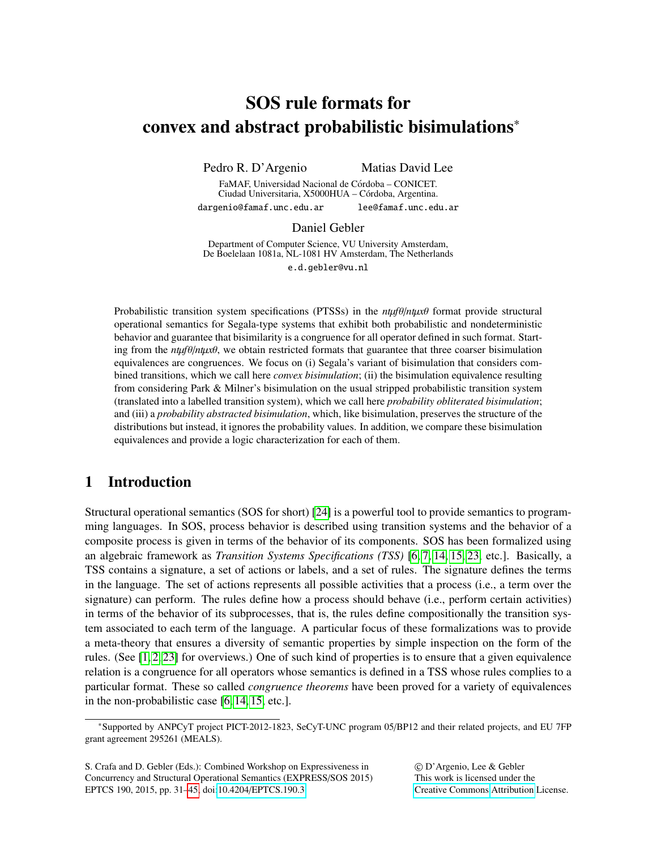# SOS rule formats for convex and abstract probabilistic bisimulations<sup>∗</sup>

Pedro R. D'Argenio Matias David Lee

FaMAF, Universidad Nacional de Córdoba - CONICET. Ciudad Universitaria, X5000HUA - Córdoba, Argentina. dargenio@famaf.unc.edu.ar lee@famaf.unc.edu.ar

Daniel Gebler

Department of Computer Science, VU University Amsterdam, De Boelelaan 1081a, NL-1081 HV Amsterdam, The Netherlands e.d.gebler@vu.nl

Probabilistic transition system specifications (PTSSs) in the *nt*µ*f*θ/*nt*µ*x*θ format provide structural operational semantics for Segala-type systems that exhibit both probabilistic and nondeterministic behavior and guarantee that bisimilarity is a congruence for all operator defined in such format. Starting from the  $n\mu f\theta/n\mu x\theta$ , we obtain restricted formats that guarantee that three coarser bisimulation equivalences are congruences. We focus on (i) Segala's variant of bisimulation that considers combined transitions, which we call here *convex bisimulation*; (ii) the bisimulation equivalence resulting from considering Park & Milner's bisimulation on the usual stripped probabilistic transition system (translated into a labelled transition system), which we call here *probability obliterated bisimulation*; and (iii) a *probability abstracted bisimulation*, which, like bisimulation, preserves the structure of the distributions but instead, it ignores the probability values. In addition, we compare these bisimulation equivalences and provide a logic characterization for each of them.

## 1 Introduction

Structural operational semantics (SOS for short) [\[24\]](#page-14-1) is a powerful tool to provide semantics to programming languages. In SOS, process behavior is described using transition systems and the behavior of a composite process is given in terms of the behavior of its components. SOS has been formalized using an algebraic framework as *Transition Systems Specifications (TSS)* [\[6,](#page-13-0) [7,](#page-13-1) [14,](#page-14-2) [15,](#page-14-3) [23,](#page-14-4) etc.]. Basically, a TSS contains a signature, a set of actions or labels, and a set of rules. The signature defines the terms in the language. The set of actions represents all possible activities that a process (i.e., a term over the signature) can perform. The rules define how a process should behave (i.e., perform certain activities) in terms of the behavior of its subprocesses, that is, the rules define compositionally the transition system associated to each term of the language. A particular focus of these formalizations was to provide a meta-theory that ensures a diversity of semantic properties by simple inspection on the form of the rules. (See [\[1,](#page-13-2) [2,](#page-13-3) [23\]](#page-14-4) for overviews.) One of such kind of properties is to ensure that a given equivalence relation is a congruence for all operators whose semantics is defined in a TSS whose rules complies to a particular format. These so called *congruence theorems* have been proved for a variety of equivalences in the non-probabilistic case [\[6,](#page-13-0) [14,](#page-14-2) [15,](#page-14-3) etc.].

S. Crafa and D. Gebler (Eds.): Combined Workshop on Expressiveness in Concurrency and Structural Operational Semantics (EXPRESS/SOS 2015) EPTCS 190, 2015, pp. 31[–45,](#page-14-0) doi:10.4204/[EPTCS.190.3](http://dx.doi.org/10.4204/EPTCS.190.3)

© D'Argenio, Lee & Gebler This work is licensed under the [Creative Commons](http://creativecommons.org) [Attribution](http://creativecommons.org/licenses/by/3.0/) License.

<sup>∗</sup>Supported by ANPCyT project PICT-2012-1823, SeCyT-UNC program 05/BP12 and their related projects, and EU 7FP grant agreement 295261 (MEALS).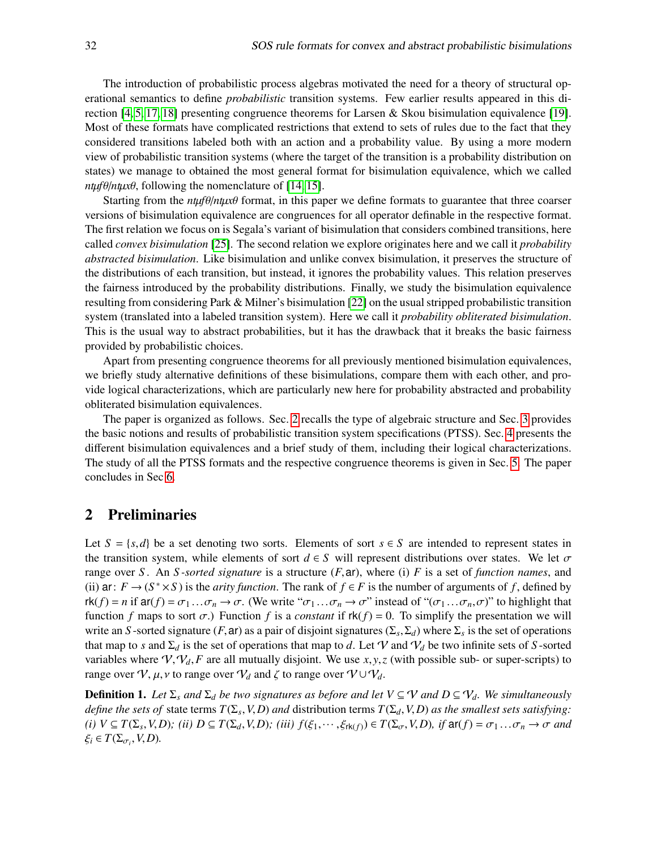The introduction of probabilistic process algebras motivated the need for a theory of structural operational semantics to define *probabilistic* transition systems. Few earlier results appeared in this direction  $[4, 5, 17, 18]$  $[4, 5, 17, 18]$  $[4, 5, 17, 18]$  $[4, 5, 17, 18]$  presenting congruence theorems for Larsen & Skou bisimulation equivalence [\[19\]](#page-14-7). Most of these formats have complicated restrictions that extend to sets of rules due to the fact that they considered transitions labeled both with an action and a probability value. By using a more modern view of probabilistic transition systems (where the target of the transition is a probability distribution on states) we manage to obtained the most general format for bisimulation equivalence, which we called *nt* $\mu$ *fθ*/*nt* $\mu$ *x* $\theta$ , following the nomenclature of [\[14,](#page-14-2) [15\]](#page-14-3).

Starting from the  $n\mu f \theta / n\mu x \theta$  format, in this paper we define formats to guarantee that three coarser versions of bisimulation equivalence are congruences for all operator definable in the respective format. The first relation we focus on is Segala's variant of bisimulation that considers combined transitions, here called *convex bisimulation* [\[25\]](#page-14-8). The second relation we explore originates here and we call it *probability abstracted bisimulation*. Like bisimulation and unlike convex bisimulation, it preserves the structure of the distributions of each transition, but instead, it ignores the probability values. This relation preserves the fairness introduced by the probability distributions. Finally, we study the bisimulation equivalence resulting from considering Park & Milner's bisimulation [\[22\]](#page-14-9) on the usual stripped probabilistic transition system (translated into a labeled transition system). Here we call it *probability obliterated bisimulation*. This is the usual way to abstract probabilities, but it has the drawback that it breaks the basic fairness provided by probabilistic choices.

Apart from presenting congruence theorems for all previously mentioned bisimulation equivalences, we briefly study alternative definitions of these bisimulations, compare them with each other, and provide logical characterizations, which are particularly new here for probability abstracted and probability obliterated bisimulation equivalences.

The paper is organized as follows. Sec. [2](#page-1-0) recalls the type of algebraic structure and Sec. [3](#page-2-0) provides the basic notions and results of probabilistic transition system specifications (PTSS). Sec. [4](#page-5-0) presents the different bisimulation equivalences and a brief study of them, including their logical characterizations. The study of all the PTSS formats and the respective congruence theorems is given in Sec. [5.](#page-7-0) The paper concludes in Sec [6.](#page-13-6)

## <span id="page-1-0"></span>2 Preliminaries

Let  $S = \{s, d\}$  be a set denoting two sorts. Elements of sort  $s \in S$  are intended to represent states in the transition system, while elements of sort  $d \in S$  will represent distributions over states. We let  $\sigma$ range over *<sup>S</sup>* . An *S -sorted signature* is a structure (*F*,ar), where (i) *<sup>F</sup>* is a set of *function names*, and (ii) ar:  $F \to (S^* \times S)$  is the *arity function*. The rank of  $f \in F$  is the number of arguments of f, defined by  $rk(f) = n$  if  $ar(f) = \sigma_1 \dots \sigma_n \rightarrow \sigma$ . (We write " $\sigma_1 \dots \sigma_n \rightarrow \sigma$ " instead of " $(\sigma_1 \dots \sigma_n, \sigma)$ " to highlight that function *f* maps to sort  $\sigma$ .) Function *f* is a *constant* if  $rk(f) = 0$ . To simplify the presentation we will write an *S*-sorted signature (*F*, ar) as a pair of disjoint signatures ( $\Sigma_s$ ,  $\Sigma_d$ ) where  $\Sigma_s$  is the set of operations<br>that man to s and  $\Sigma_s$  is the set of operations that man to d. Let  $\mathcal U$  and  $\mathcal U_s$  be two in that map to *s* and  $\Sigma_d$  is the set of operations that map to *d*. Let V and  $V_d$  be two infinite sets of *S*-sorted variables where  $\mathcal{V}, \mathcal{V}_d, F$  are all mutually disjoint. We use  $x, y, z$  (with possible sub- or super-scripts) to range over  $V$ ,  $\mu$ ,  $\nu$  to range over  $V_d$  and  $\zeta$  to range over  $V \cup V_d$ .

**Definition 1.** Let  $\Sigma_s$  and  $\Sigma_d$  be two signatures as before and let  $V \subseteq V$  and  $D \subseteq V_d$ . We simultaneously *define the sets of state terms*  $T(\Sigma_s, V, D)$  *and* distribution terms  $T(\Sigma_d, V, D)$  *as the smallest sets satisfying:*<br>(i)  $V \subset T(\Sigma, V, D)$ ; (ii)  $D \subset T(\Sigma, V, D)$ ; (iii)  $f(\xi_1, \dots, \xi_k, \xi_k) \in T(\Sigma, V, D)$ ; if  $2f(f) = T(\xi_1, \dots, \xi_k, \xi_k)$ (i)  $V \subseteq T(\Sigma_s, V, D)$ ; (ii)  $D \subseteq T(\Sigma_d, V, D)$ ; (iii)  $f(\xi_1, \dots, \xi_{rk(f)}) \in T(\Sigma_{\sigma}, V, D)$ , if  $\text{ar}(f) = \sigma_1 \dots \sigma_n \to \sigma$  and  $\xi_i \in T(\Sigma \cup V, D)$ .  $\xi_i \in T(\Sigma_{\sigma_i}, V, D)$ .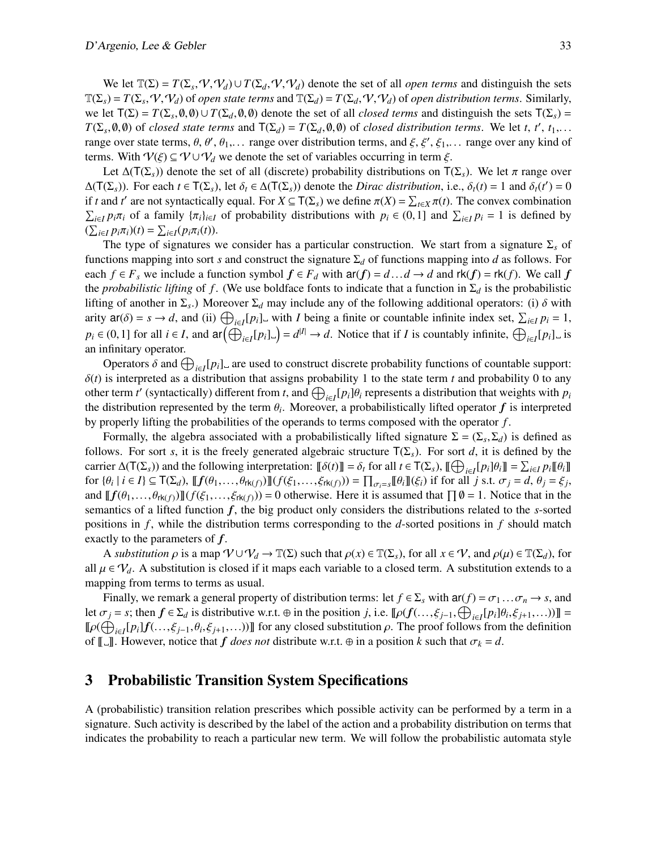We let  $\mathbb{T}(\Sigma) = T(\Sigma_s, \mathcal{V}, \mathcal{V}_d) \cup T(\Sigma_d, \mathcal{V}, \mathcal{V}_d)$  denote the set of all *open terms* and distinguish the sets  $\Sigma = T(\Sigma, \mathcal{V}, \mathcal{V}_d)$  of *open* distribution terms. Similarly  $T(\Sigma_s) = T(\Sigma_s, V, V_d)$  of *open state terms* and  $T(\Sigma_d) = T(\Sigma_d, V, V_d)$  of *open distribution terms*. Similarly,<br>we let  $T(\Sigma) = T(\Sigma_a, \emptyset, \emptyset)$  denote the set of all *closed terms* and distinguish the sets  $T(\Sigma_a) = T(\Sigma_a, \emptyset, \emptyset)$ we let  $T(\Sigma) = T(\Sigma_s, 0, 0) \cup T(\Sigma_d, 0, 0)$  denote the set of all *closed terms* and distinguish the sets  $T(\Sigma_s) = T(\Sigma_s, 0, 0)$  of *closed state terms* and  $T(\Sigma_s) = T(\Sigma_s, 0, 0)$  of *closed distribution terms*. We let t if to  $T(\Sigma_s, \emptyset, \emptyset)$  of *closed state terms* and  $T(\Sigma_d) = T(\Sigma_d, \emptyset, \emptyset)$  of *closed distribution terms*. We let *t*, *t'*, *t*<sub>1</sub>,...<br>range over state terms  $\Theta$ ,  $\Theta'$ ,  $\Theta$ , ange over distribution terms and  $\xi$ ,  $\xi'$ ,  $\xi$ , range over state terms,  $\theta$ ,  $\theta'$ ,  $\theta_1$ ,... range over distribution terms, and  $\xi$ ,  $\xi'$ ,  $\xi_1$ ,... range over any kind of<br>terms. With  $Q(\xi) \subset Q \cup Q$ , we denote the set of variables occurring in term  $\xi$ terms. With  $\mathcal{V}(\xi) \subseteq \mathcal{V} \cup \mathcal{V}_d$  we denote the set of variables occurring in term  $\xi$ .

Let  $\Delta(T(\Sigma_s))$  denote the set of all (discrete) probability distributions on  $T(\Sigma_s)$ . We let  $\pi$  range over  $\Delta(T(\Sigma_s))$ . For each  $t \in T(\Sigma_s)$ , let  $\delta_t \in \Delta(T(\Sigma_s))$  denote the *Dirac distribution*, i.e.,  $\delta_t(t) = 1$  and  $\delta_t(t') = 0$ <br>if *t* and *t'* are not syntactically equal. For  $X \subset T(S)$  we define  $\pi(X) = \sum_{x} \pi(t)$ . The convex combinat if *t* and *t'* are not syntactically equal. For  $X \subseteq T(\Sigma_s)$  we define  $\pi(X) = \sum_{t \in X} \pi(t)$ . The convex combination<br>  $\sum_{t \in \mathcal{X}} n(\pi)$  of a family  $\{\pi_t\}_{t \in \mathcal{X}}$  of probability distributions with  $n_t \in (0, 1]$  and  $\sum_{t \$  $\sum_{i \in I} p_i \pi_i$  of a family  $\{\pi_i\}_{i \in I}$  of probability distributions with  $p_i \in (0,1]$  and  $\sum_{i \in I} p_i = 1$  is defined by  $(\sum_{i \in I} p_i \pi_i)(t) = \sum_{i \in I} (p_i \pi_i(t)).$ <br>The type of signatures y

The type of signatures we consider has a particular construction. We start from a signature Σ*<sup>s</sup>* of functions mapping into sort *s* and construct the signature Σ*<sup>d</sup>* of functions mapping into *d* as follows. For each *f* ∈ *F*<sub>*s*</sub> we include a function symbol  $f$  ∈  $F$ <sub>*d*</sub> with  $ar(f) = d \dots d \rightarrow d$  and  $rk(f) = rk(f)$ . We call *f* the *probabilistic lifting* of *f*. (We use boldface fonts to indicate that a function in  $\Sigma_d$  is the probabilistic lifting of another in  $\Sigma_s$ .) Moreover  $\Sigma_d$  may include any of the following additional operators: (i)  $\delta$  with<br>ority  $2f(\delta) = s \rightarrow d$  and (ii)  $\bigoplus$  [p.] with *I* being a finite or countable infinite index set  $\Sigma$ ,  $n = 1$ arity  $\mathbf{a}(\delta) = s \to d$ , and (ii)  $\bigoplus_{i \in I} [p_i]$ , with *I* being a finite or countable infinite index set,  $\sum_{i \in I} p_i = 1$ ,  $p_i \in (0, 1]$  for all  $i \in I$ , and  $\text{ar}(\bigoplus_{i \in I} [p_i] \cup) = d^{|I|} \to d$ . Notice that if *I* is countably infinite,  $\bigoplus_{i \in I} [p_i] \cup$  is an infinitary operator.

Operators δ and  $\bigoplus_{i\in I} [p_i]$  are used to construct discrete probability functions of countable support:<br>is interpreted as a distribution that assigns probability 1 to the state term t and probability 0 to any  $\delta(t)$  is interpreted as a distribution that assigns probability 1 to the state term *t* and probability 0 to any other term *t'* (syntactically) different from *t*, and  $\bigoplus_{i \in I} [p_i] \theta_i$  represents a distribution that weights with  $p_i$ <br>the distribution represented by the term  $\theta$ . Moreover, a probabilistically lifted operator *f* the distribution represented by the term  $\theta_i$ . Moreover, a probabilistically lifted operator  $f$  is interpreted<br>by properly lifting the probabilities of the operator to terms composed with the operator  $f$ by properly lifting the probabilities of the operands to terms composed with the operator *f* .

Formally, the algebra associated with a probabilistically lifted signature  $\Sigma = (\Sigma_s, \Sigma_d)$  is defined as follows. For sort *s*, it is the freely generated algebraic structure  $T(\Sigma_s)$ . For sort *d*, it is defined by the carrier  $\Delta(T(\Sigma_s))$  and the following interpretation:  $[\![\delta(t)]\!] = \delta_t$  for all  $t \in T(\Sigma_s)$ ,  $[\![\bigoplus_{i \in I} [p_i] \theta_i] \!] = \sum_{i \in I} p_i [\![\theta_i] \!]$ <br>for  $\{ \theta_i \mid i \in I \} \subset T(\Sigma_s)$ ,  $[\![\mathbf{f}(\theta_i - \theta_i) \mathbf{f}](\mathbf{f}(\mathcal{E}_i - \mathcal{E}_i)) \} = \prod_{i \in I} [p_i] \$ for  $\{\theta_i \mid i \in I\} \subseteq \mathsf{T}(\Sigma_d)$ ,  $\llbracket f(\theta_1, \ldots, \theta_{\mathsf{rk}(f)}) \rrbracket (f(\xi_1, \ldots, \xi_{\mathsf{rk}(f)})) = \prod_{\sigma_i = s} \llbracket \theta_i \rrbracket (\xi_i)$  if for all j s.t.  $\sigma_j = d$ ,  $\theta_j = \xi_j$ , and  $[[f(\theta_1,...,\theta_{rk(f)})]](f(\xi_1,...,\xi_{rk(f)})) = 0$  otherwise. Here it is assumed that  $\prod \emptyset = 1$ . Notice that in the semantics of a lifted function *f*, the big product only considers the distributions related to the *s*-sorted positions in *f* , while the distribution terms corresponding to the *d*-sorted positions in *f* should match exactly to the parameters of *f*.

A *substitution*  $\rho$  is a map  $\mathcal{V} \cup \mathcal{V}_d \to \mathbb{T}(\Sigma)$  such that  $\rho(x) \in \mathbb{T}(\Sigma_s)$ , for all  $x \in \mathcal{V}$ , and  $\rho(\mu) \in \mathbb{T}(\Sigma_d)$ , for all  $\mu \in V_d$ . A substitution is closed if it maps each variable to a closed term. A substitution extends to a mapping from terms to terms as usual.

Finally, we remark a general property of distribution terms: let  $f \in \Sigma_s$  with  $\text{ar}(f) = \sigma_1 \dots \sigma_n \to s$ , and let  $\sigma_j = s$ ; then  $f \in \Sigma_d$  is distributive w.r.t. ⊕ in the position *j*, i.e.  $[\![\rho(f(\ldots,\xi_{j-1},\bigoplus_{i\in I}[p_i]\theta_i,\xi_{j+1},\ldots))]$  =  $[\![\sigma(\bigoplus_{i\in I}[p_i]\theta_i,\xi_{j+1},\ldots)]\!]$  $\llbracket \rho(\bigoplus_{i \in I} [p_i] f(\ldots, \xi_{j-1}, \theta_i, \xi_{j+1}, \ldots)) \rrbracket$  for any closed substitution  $\rho$ . The proof follows from the definition of  $\llbracket \top \rrbracket$ . However, potice that  $f$  does not distribute w.r.t.  $\oplus$  in a position  $k$  su of  $\llbracket \Box \rrbracket$ . However, notice that *f* does not distribute w.r.t.  $\oplus$  in a position *k* such that  $\sigma_k = d$ .

## <span id="page-2-0"></span>3 Probabilistic Transition System Specifications

A (probabilistic) transition relation prescribes which possible activity can be performed by a term in a signature. Such activity is described by the label of the action and a probability distribution on terms that indicates the probability to reach a particular new term. We will follow the probabilistic automata style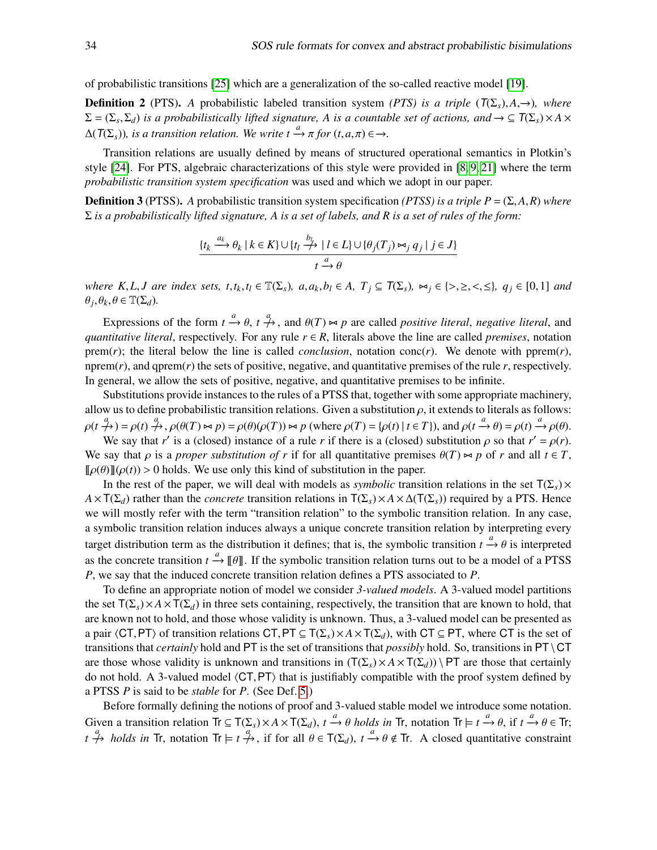of probabilistic transitions [\[25\]](#page-14-8) which are a generalization of the so-called reactive model [\[19\]](#page-14-7).

**Definition 2** (PTS). *A* probabilistic labeled transition system *(PTS) is a triple* ( $T(\Sigma_s)$ ,*A*,→)*, where*  $\Sigma = (\Sigma_s, \Sigma_d)$  *is a probabilistically lifted signature, A is a countable set of actions, and*  $\rightarrow \subseteq T(\Sigma_s) \times A \times A(T(\Sigma_s))$  *is a transition whatime*. We write  $A^{(a)} = \int T(\Sigma_s) d\mathbf{r}$  $\Delta(T(\Sigma_s))$ , is a transition relation. We write  $t \xrightarrow{a} \pi$  for  $(t, a, \pi) \in \rightarrow$ .

Transition relations are usually defined by means of structured operational semantics in Plotkin's style [\[24\]](#page-14-1). For PTS, algebraic characterizations of this style were provided in [\[8,](#page-14-10) [9,](#page-14-11) [21\]](#page-14-12) where the term *probabilistic transition system specification* was used and which we adopt in our paper.

**Definition 3** (PTSS). *A* probabilistic transition system specification *(PTSS) is a triple P* =  $(\Sigma, A, R)$  *where* Σ *is a probabilistically lifted signature, A is a set of labels, and R is a set of rules of the form:*

$$
\{t_k \xrightarrow{a_k} \theta_k \mid k \in K\} \cup \{t_l \xrightarrow{b_l} \mid l \in L\} \cup \{\theta_j(T_j) \bowtie_j q_j \mid j \in J\}
$$

$$
t \xrightarrow{a} \theta
$$

where K, L, J are index sets,  $t, t_k, t_l \in \mathbb{T}(\Sigma_s)$ ,  $a, a_k, b_l \in A$ ,  $T_j \subseteq T(\Sigma_s)$ ,  $\bowtie_j \in \{>, \geq, \leq, \leq\}, q_j \in [0, 1]$  and  $\theta_j, \theta_k, \theta \in \mathbb{T}(\Sigma_d)$ .

Expressions of the form  $t \xrightarrow{a} \theta$ ,  $t \xrightarrow{a}$ , and  $\theta(T) \bowtie p$  are called *positive literal*, *negative literal*, and *positive literal respectively.* For any rule  $r \in R$  literals above the line are called *premises* po *quantitative literal*, respectively. For any rule  $r \in R$ , literals above the line are called *premises*, notation prem(*r*); the literal below the line is called *conclusion*, notation conc(*r*). We denote with pprem(*r*), nprem $(r)$ , and qprem $(r)$  the sets of positive, negative, and quantitative premises of the rule  $r$ , respectively. In general, we allow the sets of positive, negative, and quantitative premises to be infinite.

Substitutions provide instances to the rules of a PTSS that, together with some appropriate machinery, allow us to define probabilistic transition relations. Given a substitution  $\rho$ , it extends to literals as follows:  $\rho(t \xrightarrow{a} \rho(t) \xrightarrow{a} \rho(t) \rightarrow s \rho(\theta(T)) \bowtie p) = \rho(\theta)(\rho(T)) \bowtie p$  (where  $\rho(T) = {\rho(t) | t \in T}$ ), and  $\rho(t \xrightarrow{a} \theta) = \rho(t) \xrightarrow{a} \rho(\theta)$ .<br>We say that r' is a (closed) instance of a rule r if there is a (closed) substitution a so that r' =  $\rho$ 

We say that *r'* is a (closed) instance of a rule *r* if there is a (closed) substitution  $\rho$  so that  $r' = \rho(r)$ .<br>say that  $\rho$  is a proper substitution of r if for all quantitative premises  $\theta(T) \ge \rho$  of r and all  $t \in T$ We say that  $\rho$  is a *proper substitution of r* if for all quantitative premises  $\theta(T) \approx p$  of *r* and all  $t \in T$ ,  $\llbracket \rho(\theta) \rrbracket(\rho(t)) > 0$  holds. We use only this kind of substitution in the paper.

In the rest of the paper, we will deal with models as *symbolic* transition relations in the set  $T(\Sigma_s) \times T(s)$  $A \times T(\Sigma_d)$  rather than the *concrete* transition relations in  $T(\Sigma_s) \times A \times \Delta(T(\Sigma_s))$  required by a PTS. Hence we will mostly refer with the term "transition relation" to the symbolic transition relation. In any case, a symbolic transition relation induces always a unique concrete transition relation by interpreting every target distribution term as the distribution it defines; that is, the symbolic transition  $t \rightarrow \theta$  is interpreted<br>as the seconds transition  $t^a$ . FOL, If the symbolic transition relation tyres system is a model of a PTSS as the concrete transition  $t \xrightarrow{a} [\theta]$ . If the symbolic transition relation turns out to be a model of a PTSS<br>*P*, we say that the induced concrete transition relation defines a PTS associated to *P*. *P*, we say that the induced concrete transition relation defines a PTS associated to *P*.

To define an appropriate notion of model we consider *3-valued models*. A 3-valued model partitions the set  $T(\Sigma_s) \times A \times T(\Sigma_d)$  in three sets containing, respectively, the transition that are known to hold, that are known not to hold, and those whose validity is unknown. Thus, a 3-valued model can be presented as a pair  $\langle CT,PT \rangle$  of transition relations  $CT,PT \subseteq T(\Sigma_s) \times A \times T(\Sigma_d)$ , with  $CT \subseteq PT$ , where CT is the set of transitions that *certainly* hold and PT is the set of transitions that *possibly* hold. So, transitions in PT\CT are those whose validity is unknown and transitions in  $(T(\Sigma_s) \times A \times T(\Sigma_d)) \setminus PT$  are those that certainly do not hold. A 3-valued model  $\langle CT, PT \rangle$  that is justifiably compatible with the proof system defined by a PTSS *P* is said to be *stable* for *P*. (See Def. [5.](#page-4-0))

Before formally defining the notions of proof and 3-valued stable model we introduce some notation. Given a transition relation  $\text{Tr} \subseteq \mathsf{T}(\Sigma_s) \times A \times \mathsf{T}(\Sigma_d)$ ,  $t \xrightarrow{a} \theta$  holds in  $\text{Tr}$ , notation  $\text{Tr} \models t \xrightarrow{a} \theta$ , if  $t \xrightarrow{a} \theta \in \text{Tr}$ ;  $t \stackrel{a}{\rightarrow} holds$  *in* Tr, notation Tr  $\models t \stackrel{a}{\rightarrow}$ , if for all  $\theta \in T(\Sigma_d)$ ,  $t \stackrel{a}{\rightarrow} \theta \notin T$ r. A closed quantitative constraint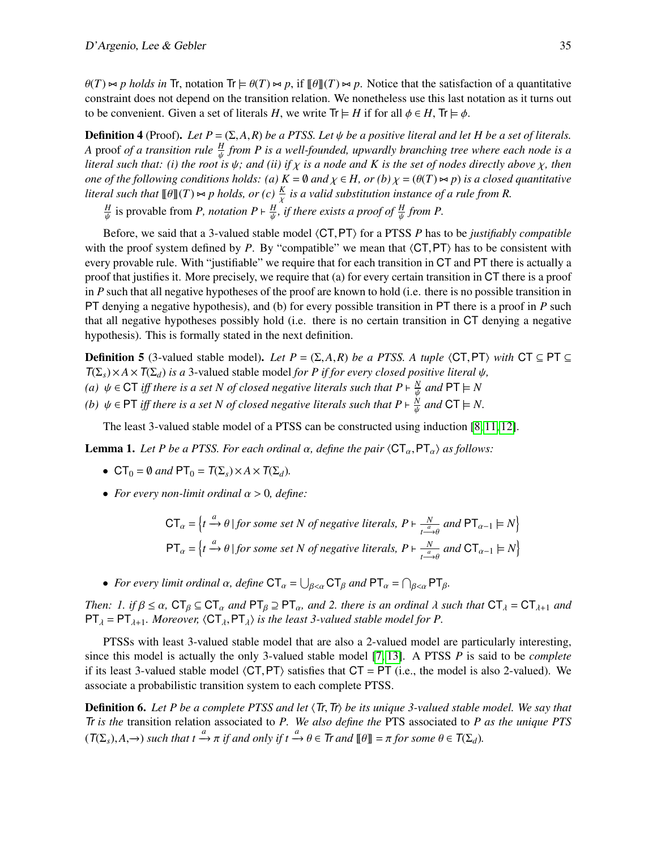$\theta(T) \approx p$  holds in Tr, notation Tr  $\models \theta(T) \approx p$ , if  $\theta \parallel (T) \approx p$ . Notice that the satisfaction of a quantitative constraint does not depend on the transition relation. We nonetheless use this last notation as it turns out to be convenient. Given a set of literals *H*, we write  $Tr \models H$  if for all  $\phi \in H$ ,  $Tr \models \phi$ .

**Definition 4** (Proof). *Let*  $P = (\Sigma, A, R)$  *be a PTSS. Let*  $\psi$  *be a positive literal and let*  $H$  *be a set of literals. A* proof *of a transition rule <sup>H</sup> from P is a well-founded, upwardly branching tree where each node is a literal such that: (i) the root is*  $\psi$ *; and (ii) if*  $\chi$  *is a node and K is the set of nodes directly above*  $\chi$ *, then*<br>and of the following conditions holds: (a)  $K = \emptyset$  and  $\chi \in H$ , or (b)  $\chi = (\theta(T) \times n)$  is a clo *one of the following conditions holds:* (a)  $K = \emptyset$  and  $\chi \in H$ , or (b)  $\chi = (\theta(T) \bowtie p)$  *is a closed quantitative literal such that*  $[\![\theta]\!](T) \Join p$  *holds, or (c)*  $\frac{K}{\chi}$  *is a valid substitution instance of a rule from R.*<br>*H*  $\cdot$ 

*H*<sub>*H*</sub><sup>*l*</sup> is provable from *P*, *notation*  $P \vdash \frac{H}{\mu}$ , *if there exists a proof of*  $\frac{H}{\mu}$  *from P*.

ψ ψ ψ Before, we said that a 3-valued stable model  $\langle CT, PT \rangle$  for a PTSS *P* has to be *justifiably compatible* with the proof system defined by  $P$ . By "compatible" we mean that  $\langle CT, PT \rangle$  has to be consistent with every provable rule. With "justifiable" we require that for each transition in CT and PT there is actually a proof that justifies it. More precisely, we require that (a) for every certain transition in CT there is a proof in *P* such that all negative hypotheses of the proof are known to hold (i.e. there is no possible transition in PT denying a negative hypothesis), and (b) for every possible transition in PT there is a proof in *P* such that all negative hypotheses possibly hold (i.e. there is no certain transition in CT denying a negative hypothesis). This is formally stated in the next definition.

<span id="page-4-0"></span>**Definition 5** (3-valued stable model). *Let P* =  $(\Sigma, A, R)$  *be a PTSS. A tuple*  $\langle CT, PT \rangle$  *with* CT ⊆ PT ⊆  $T(\Sigma_s) \times A \times T(\Sigma_d)$  *is a* 3-valued stable model *for P if for every closed positive literal*  $\psi$ *, (a)*  $\psi \in \text{CT}$  *iff there is a set N of closed negative literals such that*  $P \vdash \frac{N}{\psi}$  *and*  $PT \models N$ *(b)*  $\psi \in \text{PT}$  *iff there is a set N of closed negative literals such that*  $P \vdash \frac{\tilde{N}}{\psi}$  *and*  $\text{CT} \models N$ *.* 

ψ

The least 3-valued stable model of a PTSS can be constructed using induction [\[8,](#page-14-10) [11,](#page-14-13) [12\]](#page-14-14).

**Lemma 1.** Let P be a PTSS. For each ordinal  $\alpha$ , define the pair  $\langle \mathsf{CT}_{\alpha},\mathsf{PT}_{\alpha}\rangle$  as follows:

- CT<sub>0</sub> =  $\emptyset$  *and* PT<sub>0</sub> = T( $\Sigma$ <sub>*s*</sub>)×A × T( $\Sigma$ <sub>*d*</sub>).
- *For every non-limit ordinal* α > <sup>0</sup>*, define:*

$$
CT_{\alpha} = \left\{ t \xrightarrow{\alpha} \theta \mid \text{for some set } N \text{ of negative literals, } P \vdash \frac{N}{t \xrightarrow{\alpha} \theta} \text{ and } PT_{\alpha-1} \models N \right\}
$$
  

$$
PT_{\alpha} = \left\{ t \xrightarrow{\alpha} \theta \mid \text{for some set } N \text{ of negative literals, } P \vdash \frac{N}{t \xrightarrow{\alpha} \theta} \text{ and } CT_{\alpha-1} \models N \right\}
$$

• For every limit ordinal  $\alpha$ , define  $CT_{\alpha} = \bigcup_{\beta < \alpha} CT_{\beta}$  and  $PT_{\alpha} = \bigcap_{\beta < \alpha} PT_{\beta}$ .

*Then: 1. if*  $\beta \le \alpha$ ,  $CT_{\beta} \subseteq CT_{\alpha}$  *and*  $PT_{\beta} \supseteq PT_{\alpha}$ , *and* 2. *there is an ordinal*  $\lambda$  *such that*  $CT_{\lambda} = CT_{\lambda+1}$  *and*  $PT_\lambda = PT_{\lambda+1}$ *. Moreover,*  $\langle CT_\lambda, PT_\lambda \rangle$  *is the least 3-valued stable model for P.* 

PTSSs with least 3-valued stable model that are also a 2-valued model are particularly interesting, since this model is actually the only 3-valued stable model [\[7,](#page-13-1) [13\]](#page-14-15). A PTSS *P* is said to be *complete* if its least 3-valued stable model  $\langle CT, PT \rangle$  satisfies that  $CT = PT$  (i.e., the model is also 2-valued). We associate a probabilistic transition system to each complete PTSS.

**Definition 6.** Let P be a complete PTSS and let  $\langle \text{Tr}, \text{Tr} \rangle$  be its unique 3-valued stable model. We say that Tr *is the* transition relation associated to *P. We also define the* PTS associated to *P as the unique PTS*  $(T(\Sigma_s), A, \rightarrow)$  *such that t*  $\stackrel{a}{\longrightarrow} \pi$  *if and only if t*  $\stackrel{a}{\longrightarrow} \theta \in \text{Tr}$  *and*  $[\![\theta]\!] = \pi$  *for some*  $\theta \in T(\Sigma_d)$ *.*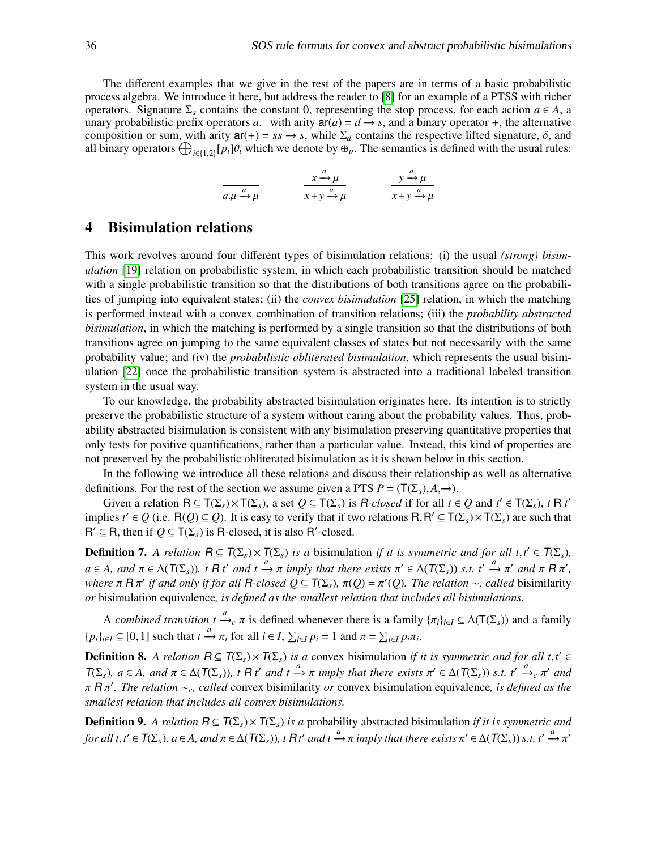The different examples that we give in the rest of the papers are in terms of a basic probabilistic process algebra. We introduce it here, but address the reader to [\[8\]](#page-14-10) for an example of a PTSS with richer operators. Signature  $\Sigma$ <sub>s</sub> contains the constant 0, representing the stop process, for each action  $a \in A$ , a unary probabilistic prefix operators *a*. with arity  $ar(a) = d \rightarrow s$ , and a binary operator +, the alternative composition or sum, with arity  $ar(+) = ss \rightarrow s$ , while  $\Sigma_d$  contains the respective lifted signature,  $\delta$ , and all binary operators  $\bigoplus_{i\in\{1,2\}} [p_i]\theta_i$  which we denote by  $\oplus_p$ . The semantics is defined with the usual rules:

> $a.\mu \xrightarrow{a} \mu$  $\frac{a}{a}$  $x + y \xrightarrow{a} \mu$  $y \xrightarrow{a} \mu$  $x + y \xrightarrow{a} \mu$

## <span id="page-5-0"></span>4 Bisimulation relations

This work revolves around four different types of bisimulation relations: (i) the usual *(strong) bisimulation* [\[19\]](#page-14-7) relation on probabilistic system, in which each probabilistic transition should be matched with a single probabilistic transition so that the distributions of both transitions agree on the probabilities of jumping into equivalent states; (ii) the *convex bisimulation* [\[25\]](#page-14-8) relation, in which the matching is performed instead with a convex combination of transition relations; (iii) the *probability abstracted bisimulation*, in which the matching is performed by a single transition so that the distributions of both transitions agree on jumping to the same equivalent classes of states but not necessarily with the same probability value; and (iv) the *probabilistic obliterated bisimulation*, which represents the usual bisimulation [\[22\]](#page-14-9) once the probabilistic transition system is abstracted into a traditional labeled transition system in the usual way.

To our knowledge, the probability abstracted bisimulation originates here. Its intention is to strictly preserve the probabilistic structure of a system without caring about the probability values. Thus, probability abstracted bisimulation is consistent with any bisimulation preserving quantitative properties that only tests for positive quantifications, rather than a particular value. Instead, this kind of properties are not preserved by the probabilistic obliterated bisimulation as it is shown below in this section.

In the following we introduce all these relations and discuss their relationship as well as alternative definitions. For the rest of the section we assume given a PTS  $P = (T(\Sigma_s), A, \rightarrow)$ .

Given a relation  $R \subseteq T(\Sigma_s) \times T(\Sigma_s)$ , a set  $Q \subseteq T(\Sigma_s)$  is *R-closed* if for all  $t \in Q$  and  $t' \in T(\Sigma_s)$ ,  $t \in R$  *t'* implies *t*<sup>'</sup> ∈ *Q* (i.e. R(*Q*) ⊆ *Q*). It is easy to verify that if two relations R, R<sup>'</sup> ⊆ T( $\Sigma$ <sub>*s*</sub>) × T( $\Sigma$ <sub>*s*</sub>) are such that  $B' ⊂ B$  then if  $O ⊂ T(S)$  is R-closed it is also  $B'$ -closed  $R' \subseteq R$ , then if  $Q \subseteq T(\Sigma_s)$  is R-closed, it is also R'-closed.

**Definition 7.** *A relation*  $R \subseteq T(\Sigma_s) \times T(\Sigma_s)$  *is a* bisimulation *if it is symmetric and for all t*,*t*<sup>*'*</sup> ∈  $T(\Sigma_s)$ ,<br>a ⊆ A curd = ⊆ A( $T(\Sigma_s)$ ) ≤  $R$  d' su d t <sup>a</sup> c = involvements that there with  $T' \subseteq A(T(\Sigma_s))$  at d'  $a \in A$ , and  $\pi \in \Delta(T(\Sigma_s))$ , t  $R$  *t'* and  $t \xrightarrow{a} \pi$  imply that there exists  $\pi' \in \Delta(T(\Sigma_s))$  *s.t.*  $t' \xrightarrow{a} \pi'$  and  $\pi R \pi'$ ,<br>where  $\pi R \pi'$  if and only if for all  $R$ -closed  $O \subset T(S \setminus \pi(O) - \pi'(O))$ . The relation  $\infty$  cal *where*  $\pi$  **R** $\pi'$  if and only if for all **R**-closed  $Q \subseteq T(\Sigma_s)$ ,  $\pi(Q) = \pi'(Q)$ . The relation  $\sim$ , called bisimilarity or bisimulation equivalence is defined as the smallest relation that includes all bisimulations. *or* bisimulation equivalence*, is defined as the smallest relation that includes all bisimulations.*

A *combined transition t*  $\stackrel{a}{\rightarrow}{}_{c}\pi$  is defined whenever there is a family  $\{\pi_i\}_{i\in I} \subseteq \Delta(T(\Sigma_s))$  and a family  $\{p_i\}_{i\in I} \subseteq [0,1]$  such that  $t \xrightarrow{a} \pi_i$  for all  $i \in I$ ,  $\sum_{i\in I} p_i = 1$  and  $\pi = \sum_{i\in I} p_i \pi_i$ .

**Definition 8.** *A relation*  $R \subseteq T(\Sigma_s) \times T(\Sigma_s)$  *is a* convex bisimulation *if it is symmetric and for all t*,*t'* ∈  $T(\Sigma_s)$ , s ∈ *A*  $T(\Sigma_s)$ , s ∈ *A*  $(T(\Sigma_s))$ ,  $T(\Sigma_s)$ ,  $T(\Sigma_s)$ , s ∈ *A*  $T(\Sigma_s)$ , s ∈ *A*  $T(\Sigma_s)$ , s ∈ *A*  $T(\Sigma_s)$ ,  $a \in A$ , and  $\pi \in \Delta(T(\Sigma_s))$ , t R t' and  $t \xrightarrow{a} \pi$  imply that there exists  $\pi' \in \Delta(T(\Sigma_s))$  *s.t.*  $t' \xrightarrow{a} c \pi'$  and  $\pi \in \mathbb{R}$  and  $\pi'$ . The relation  $\infty$  called convex bisimilarity or convex bisimulation equi π <sup>R</sup> π 0 *. The relation* ∼*c, called* convex bisimilarity *or* convex bisimulation equivalence*, is defined as the smallest relation that includes all convex bisimulations.*

<span id="page-5-1"></span>**Definition 9.** A relation  $R \subseteq T(\Sigma_s) \times T(\Sigma_s)$  *is a* probability abstracted bisimulation *if it is symmetric and for all*  $t, t' \in T(\Sigma_s)$ ,  $a \in A$ , and  $\pi \in \Delta(T(\Sigma_s))$ ,  $t \in \mathbb{R}^d$  *and*  $t \xrightarrow{a} \pi$  *imply that there exists*  $\pi' \in \Delta(T(\Sigma_s))$  *s.t.*  $t' \xrightarrow{a} \pi'$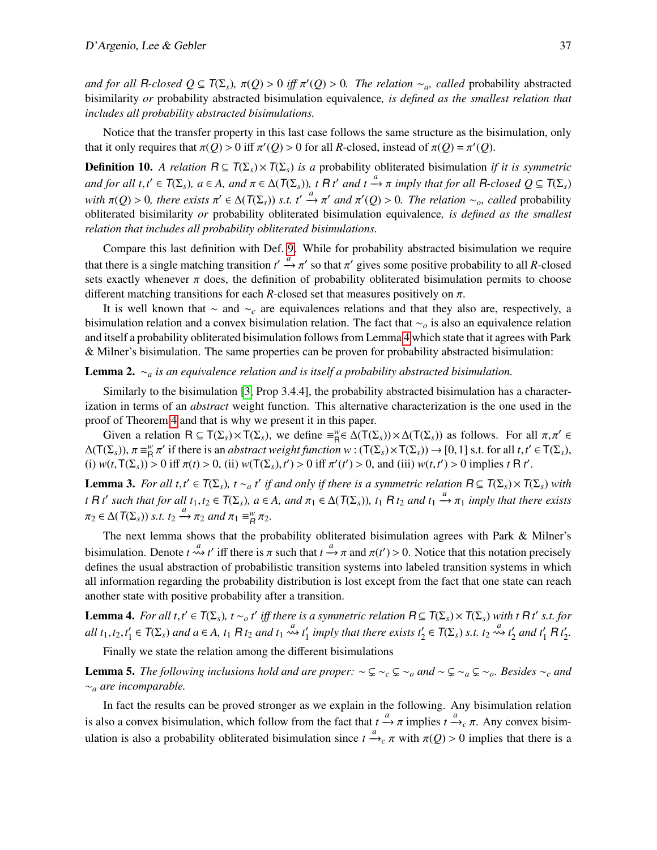*and for all* R-closed  $Q \subseteq T(\Sigma_s)$ ,  $\pi(Q) > 0$  *iff*  $\pi'(Q) > 0$ . The relation ∼*a, called* probability abstracted<br>bisimilarity or probability abstracted bisimulation equivalence *is defined as the smallest relation that* bisimilarity *or* probability abstracted bisimulation equivalence*, is defined as the smallest relation that includes all probability abstracted bisimulations.*

Notice that the transfer property in this last case follows the same structure as the bisimulation, only that it only requires that  $\pi(Q) > 0$  iff  $\pi'(Q) > 0$  for all *R*-closed, instead of  $\pi(Q) = \pi'(Q)$ .

**Definition 10.** *A relation*  $R \subseteq T(\Sigma_s) \times T(\Sigma_s)$  *is a* probability obliterated bisimulation *if it is symmetric and for all*  $t, t' \in T(\Sigma_s)$ ,  $a \in A$ , and  $\pi \in \Delta(T(\Sigma_s))$ ,  $t \in R t'$  and  $t \xrightarrow{a} \pi$  *imply that for all*  $R$ *-closed*  $Q \subseteq T(\Sigma_s)$ *with*  $\pi(Q) > 0$ , there exists  $\pi' \in \Delta(T(\Sigma_s))$  *s.t.*  $t' \stackrel{a}{\rightarrow} \pi'$  and  $\pi'(Q) > 0$ . The relation ∼<sub>*o*</sub>, called probability obliterated bisimulation equivalence *is defined as the smallest* obliterated bisimilarity *or* probability obliterated bisimulation equivalence*, is defined as the smallest relation that includes all probability obliterated bisimulations.*

Compare this last definition with Def. [9.](#page-5-1) While for probability abstracted bisimulation we require that there is a single matching transition  $t' \stackrel{a}{\rightarrow} \pi'$  so that  $\pi'$  gives some positive probability to all *R*-closed sets exactly whenever  $\pi$  does, the definition of probability obliterated bisimulation permits to choose different matching transitions for each *R*-closed set that measures positively on  $\pi$ .

It is well known that ∼ and ∼*<sup>c</sup>* are equivalences relations and that they also are, respectively, a bisimulation relation and a convex bisimulation relation. The fact that ∼*<sup>o</sup>* is also an equivalence relation and itself a probability obliterated bisimulation follows from Lemma [4](#page-6-0) which state that it agrees with Park & Milner's bisimulation. The same properties can be proven for probability abstracted bisimulation:

Lemma 2. ∼*<sup>a</sup> is an equivalence relation and is itself a probability abstracted bisimulation.*

Similarly to the bisimulation [\[3,](#page-13-7) Prop 3.4.4], the probability abstracted bisimulation has a characterization in terms of an *abstract* weight function. This alternative characterization is the one used in the proof of Theorem [4](#page-11-0) and that is why we present it in this paper.

Given a relation  $R \subseteq T(\Sigma_s) \times T(\Sigma_s)$ , we define  $\equiv_{R}^{w} \in \Delta(T(\Sigma_s)) \times \Delta(T(\Sigma_s))$  as follows. For all  $\pi, \pi' \in$ <br>  $(\Sigma_s) \times \pi = w \pi'$  if there is an *abstract weight function*  $w : (T(\Sigma_s) \times T(\Sigma_s)) \to [0, 1]$  is t for all  $t \neq T(\Sigma_s)$  $\Delta(\mathsf{T}(\Sigma_s)), \pi \equiv^w_{\mathsf{R}}$ <br>(i)  $w(t, \mathsf{T}(\Sigma_s))$ (i)  $w(t, T(\Sigma_s)) > 0$  iff  $\pi(t) > 0$ , (ii)  $w(T(\Sigma_s), t') > 0$  iff  $\pi'(t') > 0$ , and (iii)  $w(t, t') > 0$  implies  $t \in \mathbb{R}$  *t'*. if there is an *abstract weight function w* : (T(Σ<sub>*s*</sub>)×T(Σ<sub>*s*</sub>)) → [0,1] s.t. for all *t*,*t*<sup>'</sup> ∈ T(Σ<sub>*s*</sub>),<br>0 iff  $\pi(t) > 0$  (ii)  $w(T(S \setminus t') > 0$  iff  $\pi'(t') > 0$  and (iii)  $w(t, t') > 0$  implies t B t<sup>'</sup>

**Lemma 3.** For all  $t, t' \in T(\Sigma_s)$ ,  $t \sim_a t'$  if and only if there is a symmetric relation  $R \subseteq T(\Sigma_s) \times T(\Sigma_s)$  with the symmetric relation  $R \subseteq T(\Sigma_s) \times T(\Sigma_s)$  with *t* R *t'* such that for all  $t_1, t_2 \in T(\Sigma_s)$ ,  $a \in A$ , and  $\pi_1 \in \Delta(T(\Sigma_s))$ ,  $t_1$  R  $t_2$  and  $t_1 \xrightarrow{a} \pi_1$  *imply that there exists*  $\pi_2 \in \Delta(T(\Sigma_s))$  *s.t.*  $t_2 \xrightarrow{a} \pi_2$  *and*  $\pi_1 \equiv^w_R \pi_2$ *.* 

The next lemma shows that the probability obliterated bisimulation agrees with Park & Milner's bisimulation. Denote  $t \stackrel{a}{\rightsquigarrow} t'$  iff there is  $\pi$  such that  $t \stackrel{a}{\rightarrow} \pi$  and  $\pi(t') > 0$ . Notice that this notation precisely defines the usual abstraction of probabilistic transition systems into labeled transition systems in which all information regarding the probability distribution is lost except from the fact that one state can reach another state with positive probability after a transition.

<span id="page-6-0"></span>**Lemma 4.** For all  $t, t' \in T(\Sigma_s)$ ,  $t \sim_o t'$  iff there is a symmetric relation  $R \subseteq T(\Sigma_s) \times T(\Sigma_s)$  with t R t<sup>t</sup> s.t. for *all*  $t_1, t_2, t'_1$  $\mathcal{L}_1' \in T(\Sigma_s)$  and  $a \in A$ ,  $t_1 R t_2$  and  $t_1 \stackrel{a}{\leadsto} t_1'$  $\frac{a}{1}$  *imply that there exists t*<sub>2</sub>  $\in$   $\mathcal{T}(\Sigma_s)$  *s.t.*  $t_2 \rightsquigarrow t_2'$  $\frac{1}{2}$  and  $t_1'$  R  $t_2'$ 2 *.*

Finally we state the relation among the different bisimulations

**Lemma 5.** *The following inclusions hold and are proper:*  $\sim \subseteq \sim_c \subseteq \sim_o$  *and*  $\sim \subseteq \sim_a \subseteq \sim_o$ *. Besides*  $\sim_c$  *and* ∼*<sup>a</sup> are incomparable.*

In fact the results can be proved stronger as we explain in the following. Any bisimulation relation is also a convex bisimulation, which follow from the fact that  $t \xrightarrow{a} \pi$  implies  $t \xrightarrow{a} c \pi$ . Any convex bisimulation is also a probability obliterated bisimulation since  $t \xrightarrow{a} c \pi$  with  $\pi(Q) > 0$  implies that there is a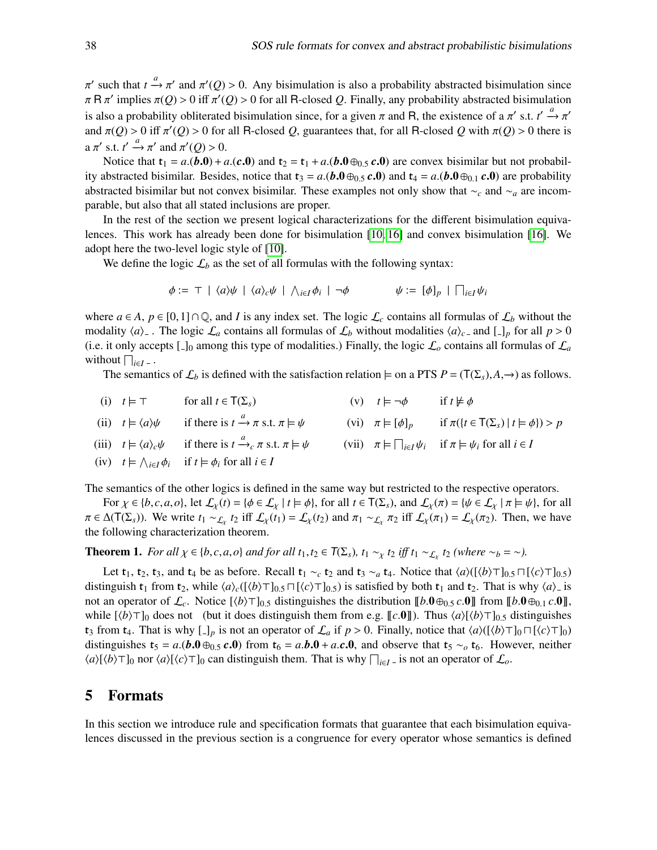$\pi$  R  $\pi'$  implies  $\pi(Q) > 0$  iff  $\pi'(Q) > 0$  for all R-closed *Q*. Finally, any probability abstracted bisimulation<br>is also a makehility abligated bisimulation since for a since read B, the mister as of a  $\pi'$  at  $\pi''$ such that  $t \to \pi'$  and  $\pi'(Q) > 0$ . Any bisimulation is also a probability abstracted bisimulation since<br> $R \pi'$  implies  $\pi(Q) > 0$  iff  $\pi'(Q) > 0$  for all R closed Q. Finally, any probability abstracted bisimulation is also a probability obliterated bisimulation since, for a given π and R, the existence of a π' s.t.  $t' \stackrel{a}{\rightarrow} \pi'$ <br>and  $\pi$ (*O*) > 0 iff  $\pi'$ (*O*) > 0 for all B closed *O* guarantees that for all B closed *O* with and  $\pi(Q) > 0$  iff  $\pi'(Q) > 0$  for all R-closed *Q*, guarantees that, for all R-closed *Q* with  $\pi(Q) > 0$  there is  $a \pi'$  s.t.  $t' \stackrel{a}{\rightarrow} \pi'$  and  $\pi'(Q) > 0$ .

Notice that  $t_1 = a(0,0) + a(0,0)$  and  $t_2 = t_1 + a(0,0) + a(0,0)$  are convex bisimilar but not probability abstracted bisimilar. Besides, notice that  $t_3 = a($ *b***.0**⊕0.5 *c***.0**) and  $t_4 = a($ *b***.0**⊕0.1 *c***.0**) are probability abstracted bisimilar but not convex bisimilar. These examples not only show that ∼*<sup>c</sup>* and ∼*<sup>a</sup>* are incomparable, but also that all stated inclusions are proper.

In the rest of the section we present logical characterizations for the different bisimulation equivalences. This work has already been done for bisimulation [\[10,](#page-14-16) [16\]](#page-14-17) and convex bisimulation [\[16\]](#page-14-17). We adopt here the two-level logic style of [\[10\]](#page-14-16).

We define the logic  $\mathcal{L}_b$  as the set of all formulas with the following syntax:

$$
\phi := \top \mid \langle a \rangle \psi \mid \langle a \rangle_c \psi \mid \bigwedge_{i \in I} \phi_i \mid \neg \phi \qquad \psi := [\phi]_p \mid \bigcap_{i \in I} \psi_i
$$

where  $a \in A$ ,  $p \in [0,1] \cap \mathbb{Q}$ , and *I* is any index set. The logic  $\mathcal{L}_c$  contains all formulas of  $\mathcal{L}_b$  without the modality  $\langle a \rangle$ . The logic  $\mathcal{L}_a$  contains all formulas of  $\mathcal{L}_b$  without modalities  $\langle a \rangle_c$  and  $[-]_p$  for all  $p > 0$ (i.e. it only accepts  $\lbrack - \rbrack_0$  among this type of modalities.) Finally, the logic  $\mathcal{L}_o$  contains all formulas of  $\mathcal{L}_a$ without  $\bigcap_{i \in I}$  –  $\cdot$ 

The semantics of  $\mathcal{L}_b$  is defined with the satisfaction relation  $\models$  on a PTS  $P = (T(\Sigma_s), A, \rightarrow)$  as follows.

(i)  $t \models \top$  for all  $t \in \mathsf{T}(\Sigma_s)$  (v)  $t \models \neg \phi$  if  $t \not\models \phi$ (ii)  $t \models \langle a \rangle \psi$  if there is  $t \xrightarrow{a} \pi$  s.t.  $\pi \models \psi$  (vi)  $\pi \models [\phi]_p$  if  $\pi({t \in T(\Sigma_s) | t \models \phi}) > p$ (iii)  $t \models \langle a \rangle_c \psi$  if there is  $t \xrightarrow{a} c \pi$  s.t.  $\pi \models \psi$  (vii)  $\pi \models \prod_{i \in I} \psi_i$  if  $\pi \models \psi_i$  for all  $i \in I$ (iv)  $t \models \bigwedge_{i \in I} \phi_i$  if  $t \models \phi_i$  for all  $i \in I$ 

The semantics of the other logics is defined in the same way but restricted to the respective operators.

For  $\chi \in \{b, c, a, o\}$ , let  $\mathcal{L}_{\chi}(t) = \{\phi \in \mathcal{L}_{\chi} \mid t \models \phi\}$ , for all  $t \in \mathsf{T}(\Sigma_s)$ , and  $\mathcal{L}_{\chi}(\pi) = \{\psi \in \mathcal{L}_{\chi} \mid \pi \models \psi\}$ , for all  $\pi \in \Delta(T(\Sigma_s))$ . We write  $t_1 \sim \mathcal{L}_\chi t_2$  iff  $\mathcal{L}_\chi(t_1) = \mathcal{L}_\chi(t_2)$  and  $\pi_1 \sim \mathcal{L}_\chi \pi_2$  iff  $\mathcal{L}_\chi(\pi_1) = \mathcal{L}_\chi(\pi_2)$ . Then, we have the following characterization theorem.

**Theorem 1.** *For all*  $\chi \in \{b, c, a, o\}$  *and for all*  $t_1, t_2 \in T(\Sigma_s)$ ,  $t_1 \sim_{\chi} t_2$  *iff*  $t_1 \sim_{\mathcal{L}_{\chi}} t_2$  (where  $\sim_b = \sim$ ).

Let  $t_1$ ,  $t_2$ ,  $t_3$ , and  $t_4$  be as before. Recall  $t_1 \sim_c t_2$  and  $t_3 \sim_a t_4$ . Notice that  $\langle a \rangle (\langle \phi \rangle \top)_{0.5} \sqcap [\langle c \rangle \top]_{0.5}$ distinguish  $t_1$  from  $t_2$ , while  $\langle a \rangle_c([\langle b \rangle \top]_{0.5} \cap [\langle c \rangle \top]_{0.5})$  is satisfied by both  $t_1$  and  $t_2$ . That is why  $\langle a \rangle$ <sub>-</sub> is not an operator of  $\mathcal{L}_c$ . Notice  $[\langle b \rangle \top]_{0.5}$  distinguishes the distribution  $[\![b.0\oplus_{0.5} c.0]\!]$  from  $[\![b.0\oplus_{0.1} c.0]\!]$ , while  $[\langle b \rangle \top]_0$  does not (but it does distinguish them from e.g.  $[\![c.0]\!]$ ). Thus  $\langle a \rangle [\langle b \rangle \top]_{0.5}$  distinguishes  $t_3$  from  $t_4$ . That is why  $\Box_p$  is not an operator of  $\mathcal{L}_a$  if  $p > 0$ . Finally, notice that  $\langle a \rangle (\langle \phi \rangle \top]_0 \sqcap [\langle c \rangle \top]_0$ distinguishes  $t_5 = a(0.0 \oplus 0.5 c.0)$  from  $t_6 = a.b.0 + a.c.0$ , and observe that  $t_5 \sim b.6$ . However, neither  $\langle a \rangle [\langle b \rangle \top]_0$  nor  $\langle a \rangle [\langle c \rangle \top]_0$  can distinguish them. That is why  $\prod_{i \in I} I_i$  is not an operator of  $\mathcal{L}_o$ .

#### <span id="page-7-0"></span>5 Formats

In this section we introduce rule and specification formats that guarantee that each bisimulation equivalences discussed in the previous section is a congruence for every operator whose semantics is defined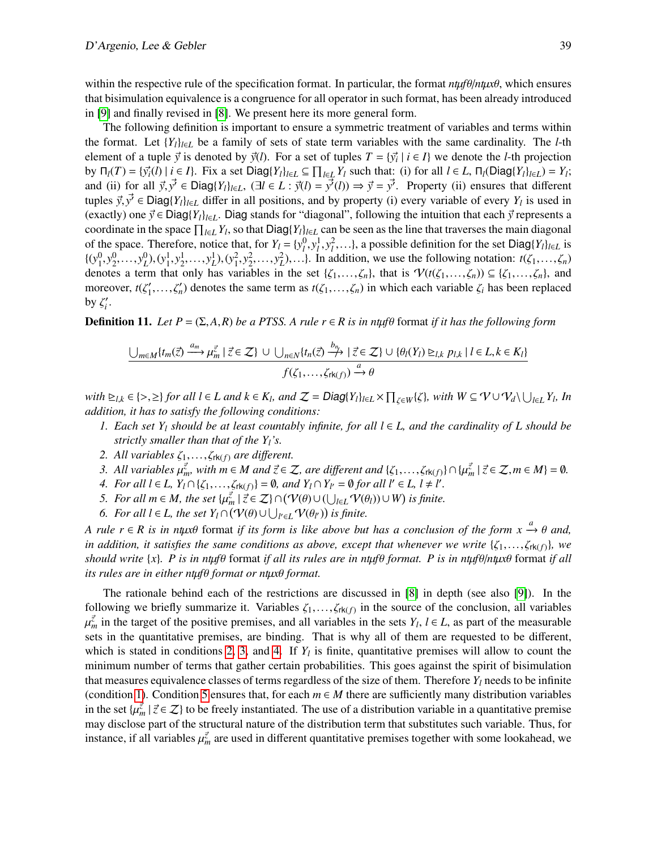within the respective rule of the specification format. In particular, the format  $n \mu \theta / n \mu x \theta$ , which ensures that bisimulation equivalence is a congruence for all operator in such format, has been already introduced in [\[9\]](#page-14-11) and finally revised in [\[8\]](#page-14-10). We present here its more general form.

The following definition is important to ensure a symmetric treatment of variables and terms within the format. Let  ${Y_l}_{l \in L}$  be a family of sets of state term variables with the same cardinality. The *l*-th element of a tuple  $\vec{y}$  is denoted by  $\vec{y}(l)$ . For a set of tuples  $T = {\{\vec{y}_i \mid i \in I\}}$  we denote the *l*-th projection<br>by  $\Gamma_l(T) = {\{\vec{x}_l(t)\mid i \in I\}}$ . Fix a set  $\text{Diag}(V_i)_{i \in I} \subset \Pi$ . *V*, such that: (i) for all  $l \in I$ , by  $\Pi_l(T) = \{\vec{y}_i(l) | i \in I\}$ . Fix a set  $Diag\{Y_l\}_{l \in L} \subseteq \prod_{l \in L} Y_l$  such that: (i) for all  $l \in L$ ,  $\Pi_l(\text{Diag}\{Y_l\}_{l \in L}) = Y_l$ ;<br>and (ii) for all  $\vec{y}_l \cdot \vec{y}_l \in \text{Diag}\{Y_l\}_{l \in L}$ ,  $(\exists l \in L, \vec{y}_l(D) \rightarrow \vec{y}_l - \vec{y}_l(D)) \rightarrow \vec{y}_l - \vec$ and (ii) for all  $\vec{y}, \vec{y'} \in \text{Diag}\{Y_l\}_{l \in L}$ ,  $(\exists l \in L : \vec{y}(l) = \vec{y'}(l)) \Rightarrow \vec{y} = \vec{y'}$ . Property (ii) ensures that different types  $\vec{y}, \vec{y'} \in \text{Diag}(Y_l)$ ,  $\vec{y}$  all positions and by property (i) every variable of ever tuples  $\vec{y}$ ,  $\vec{y}' \in \text{Diag}\{Y_l\}_{l \in L}$  differ in all positions, and by property (i) every variable of every  $Y_l$  is used in<br>(exactly) one  $\vec{y} \in \text{Diag}(Y_l)$ .  $\therefore$  Digg stands for "diagonal" following the intuition tha (exactly) one  $\vec{y} \in \text{Diag}\{Y_l\}_{l \in L}$ . Diag stands for "diagonal", following the intuition that each  $\vec{y}$  represents a coordinate in the space  $\prod_{l\in L} Y_l$ , so that Diag $\{Y_l\}_{l\in L}$  can be seen as the line that traverses the main diagonal of the space. Therefore, notice that, for  $Y_l = \{y_l^0, y_l^1, y_l^2, \ldots\}$ , a possible definition for the set Diag $\{Y_l\}_{l \in L}$  is  $\{f_l^0, g_l^0, g_l^0, \ldots, g_l^0\}$  ( $g_l^1, g_l^2, g_l^2, \ldots, g_l^2\}$ ) In addition, we use the following n  $\{(y_1^0, y_2^0, \ldots, y_L^0), (y_1^1, y_2^1, \ldots, y_L^1), (y_1^2, y_2^2, \ldots, y_L^2), \ldots\}$ . In addition, we use the following notation:  $t(\zeta_1, \ldots, \zeta_n)$ denotes a term that only has variables in the set  $\{\zeta_1,\ldots,\zeta_n\}$ , that is  $\mathcal{V}(t(\zeta_1,\ldots,\zeta_n)) \subseteq \{\zeta_1,\ldots,\zeta_n\}$ , and moreover,  $t(\zeta_1')$  $T'_1, \ldots, T'_n$  denotes the same term as  $t(\zeta_1, \ldots, \zeta_n)$  in which each variable  $\zeta_i$  has been replaced by  $\zeta_i'$ *i* .

<span id="page-8-6"></span>**Definition 11.** Let  $P = (\Sigma, A, R)$  be a PTSS. A rule  $r \in R$  is in nty fermat if it has the following form

$$
\underbrace{\bigcup_{m\in M}\{t_m(\vec{z})\xrightarrow{a_m}\mu_m^{\vec{z}}\mid \vec{z}\in\mathcal{Z}\}\cup\bigcup_{n\in N}\{t_n(\vec{z})\xrightarrow{b_n}\mid \vec{z}\in\mathcal{Z}\}\cup\{\theta_l(Y_l)\unrhd_{l,k}p_{l,k}\mid l\in L,k\in K_l\}}_{f(\zeta_1,\ldots,\zeta_{rk(f)})\xrightarrow{a}\theta}
$$

with  $\sum_{l,k} \in \{>,\geq\}$  for all  $l \in L$  and  $k \in K_l$ , and  $\mathcal{Z} = \text{Diag}\{Y_l\}_{l \in L} \times \prod_{\zeta \in W} \{\zeta\}$ , with  $W \subseteq \mathcal{V} \cup \mathcal{V}_d \setminus \bigcup_{l \in L} Y_l$ , In addition, it has to satisfy the following conditions: *addition, it has to satisfy the following conditions:*

- <span id="page-8-3"></span>*1. Each set Y<sub>l</sub> should be at least countably infinite, for all*  $l \in L$ *, and the cardinality of L should be strictly smaller than that of the Yl's.*
- <span id="page-8-0"></span>*2. All variables*  $\zeta_1, \ldots, \zeta_{rk(f)}$  *are different.*
- <span id="page-8-1"></span>*3.* All variables  $\mu_{m}^{\vec{z}}$ , with  $m \in M$  and  $\vec{z} \in \mathcal{Z}$ , are different and  $\{\zeta_1, \ldots, \zeta_{rk(f)}\} \cap \{\mu_{m}^{\vec{z}} \mid \vec{z} \in \mathcal{Z}, m \in M\} = \emptyset$ .<br>*A* For all  $l \in I$ ,  $Y_{l} \cap \{Z_{l}$ ,  $\mu_{m} \in \mathcal{Z}_{l}$  and  $Y_{l} \cap Y_{u} = \emptyset$
- <span id="page-8-2"></span>*4.* For all  $l \in L$ ,  $Y_l \cap \{ \zeta_1, ..., \zeta_{rk(f)} \} = \emptyset$ , and  $Y_l \cap Y_{l'} = \emptyset$  for all  $l' \in L$ ,  $l \neq l'$ .<br>5. For all  $m \in M$ , the set  $\{u^{\zeta} \mid \vec{\tau} \in \mathcal{I} \setminus \bigcap (V(\theta) \cup (l, ..., N(\theta))) \}$  is finite.
- <span id="page-8-4"></span>*5.* For all  $m \in M$ , the set  $\{ \mu_m^{\vec{z}} \mid \vec{z} \in \mathcal{Z} \} \cap (\mathcal{V}(\theta) \cup (\bigcup_{l \in L} \mathcal{V}(\theta_l)) \cup W)$  is finite.<br>6. For all l∈ *L* the set  $Y_i \cap (\mathcal{V}(\theta) \cup \bot \cup ... \cup \mathcal{V}(\theta_1))$  is finite.
- *6. For all l* ∈ *L*, the set  $Y_l \cap (\mathcal{V}(\theta) \cup \bigcup_{l' \in L} \mathcal{V}(\theta_{l'}) )$  is finite.

<span id="page-8-5"></span>*A rule r* ∈ *R* is in ntµ*x*θ format if its form is like above but has a conclusion of the form  $x \xrightarrow{a} \theta$  and, in addition, it satisfies the same conditions as above, except that whenever we write  $\{z, z \in \mathbb{R} \}$  we *in addition, it satisfies the same conditions as above, except that whenever we write*  $\{\zeta_1,\ldots,\zeta_{rk(f)}\}$ *, we should write* {*x*}*. P is in nt*µ*f*θ format *if all its rules are in nt*µ*f*θ *format. P is in nt*µ*f*θ/*nt*µ*x*θ format *if all its rules are in either nt*µ*f*θ *format or nt*µ*x*θ *format.*

The rationale behind each of the restrictions are discussed in [\[8\]](#page-14-10) in depth (see also [\[9\]](#page-14-11)). In the following we briefly summarize it. Variables  $\zeta_1, \ldots, \zeta_{rk(f)}$  in the source of the conclusion, all variables  $\mu^{\zeta}$  in the target of the positive premises, and all variables in the sets  $Y, l \in I$  as part of the measu  $\frac{m}{s}$  sets in the quantitative premises, are binding. That is why all of them are requested to be different,  $\vec{z}$  in the target of the positive premises, and all variables in the sets  $Y_l$ ,  $l \in L$ , as part of the measurable which is stated in conditions [2,](#page-8-0) [3,](#page-8-1) and [4.](#page-8-2) If  $Y_l$  is finite, quantitative premises will allow to count the minimum number of terms that gather certain probabilities. This goes against the spirit of bisimulation that measures equivalence classes of terms regardless of the size of them. Therefore  $Y_l$  needs to be infinite (condition [1\)](#page-8-3). Condition [5](#page-8-4) ensures that, for each  $m \in M$  there are sufficiently many distribution variables in the set  $\{\mu_m^{\vec{z}} \mid \vec{z} \in \mathcal{Z}\}$  to be freely instantiated. The use of a distribution variable in a quantitative premise may disclose part of the structural pature of the distribution term that substitutes such var may disclose part of the structural nature of the distribution term that substitutes such variable. Thus, for instance, if all variables  $\mu_m^{\vec{z}}$  are used in different quantitative premises together with some lookahead, we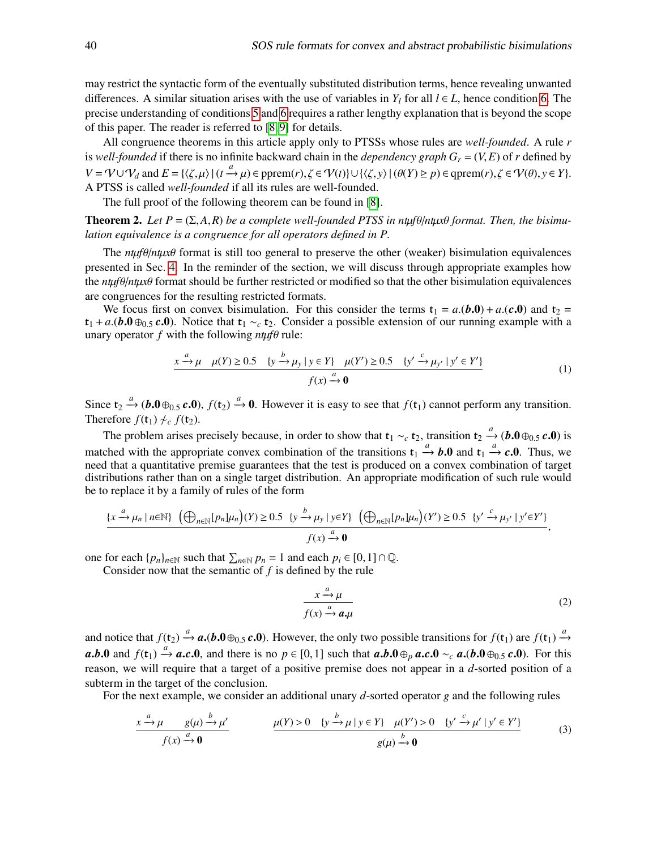may restrict the syntactic form of the eventually substituted distribution terms, hence revealing unwanted differences. A similar situation arises with the use of variables in  $Y_l$  for all  $l \in L$ , hence condition [6.](#page-8-5) The precise understanding of conditions [5](#page-8-4) and [6](#page-8-5) requires a rather lengthy explanation that is beyond the scope of this paper. The reader is referred to [\[8,](#page-14-10) [9\]](#page-14-11) for details.

All congruence theorems in this article apply only to PTSSs whose rules are *well-founded*. A rule *r* is *well-founded* if there is no infinite backward chain in the *dependency graph*  $G_r = (V, E)$  of *r* defined by  $V = \mathcal{V} \cup \mathcal{V}_d$  and  $E = \{ \langle \zeta, \mu \rangle | (t \stackrel{a}{\rightarrow} \mu) \in \text{pprem}(r), \zeta \in \mathcal{V}(t) \} \cup \{ \langle \zeta, y \rangle | (\theta(Y) \ge p) \in \text{qprem}(r), \zeta \in \mathcal{V}(\theta), y \in Y \}.$ <br>A PTSS is called *well founded* if all its rules are well founded A PTSS is called *well-founded* if all its rules are well-founded.

The full proof of the following theorem can be found in [\[8\]](#page-14-10).

<span id="page-9-3"></span>**Theorem 2.** Let  $P = (\Sigma, A, R)$  be a complete well-founded PTSS in ntuf $\theta$ /*ntux* $\theta$  format. Then, the bisimu*lation equivalence is a congruence for all operators defined in P.*

The  $n \mu \theta / n \mu x \theta$  format is still too general to preserve the other (weaker) bisimulation equivalences presented in Sec. [4.](#page-5-0) In the reminder of the section, we will discuss through appropriate examples how the  $n \mu \theta / n \mu x \theta$  format should be further restricted or modified so that the other bisimulation equivalences are congruences for the resulting restricted formats.

We focus first on convex bisimulation. For this consider the terms  $t_1 = a(\mathbf{b.0}) + a(\mathbf{c.0})$  and  $t_2 =$  $t_1 + a$ .(*b*.0⊕<sub>0.5</sub> *c*.0). Notice that  $t_1 \sim_c t_2$ . Consider a possible extension of our running example with a unary operator  $f$  with the following  $n \mu f \theta$  rule:

<span id="page-9-0"></span>
$$
\frac{x \xrightarrow{a} \mu \quad \mu(Y) \ge 0.5 \quad \{y \xrightarrow{b} \mu_y \mid y \in Y\} \quad \mu(Y') \ge 0.5 \quad \{y' \xrightarrow{c} \mu_{y'} \mid y' \in Y'\}}{f(x) \xrightarrow{a} 0}
$$
(1)

Since  $t_2 \xrightarrow{a} (\mathbf{b.0} \oplus_{0.5} \mathbf{c.0})$ ,  $f(t_2) \xrightarrow{a} 0$ . However it is easy to see that  $f(t_1)$  cannot perform any transition.<br>Therefore  $f(t_1) \nless f(t_2)$ Therefore  $f(t_1) \nleftrightarrow_c f(t_2)$ .

The problem arises precisely because, in order to show that  $t_1 \sim_c t_2$ , transition  $t_2 \stackrel{a}{\rightarrow} (b.0 \oplus_{0.5} c.0)$  is matched with the appropriate convex combination of the transitions  $t_1 \xrightarrow{a} b.0$  and  $t_1 \xrightarrow{a} c.0$ . Thus, we need that a quantitative premise guarantees that the test is produced on a convex combination of target need that a quantitative premise guarantees that the test is produced on a convex combination of target distributions rather than on a single target distribution. An appropriate modification of such rule would be to replace it by a family of rules of the form

$$
\frac{\{x \xrightarrow{a} \mu_n \mid n \in \mathbb{N}\} (\bigoplus_{n \in \mathbb{N}} [p_n] \mu_n\big)(Y) \ge 0.5 \quad \{y \xrightarrow{b} \mu_y \mid y \in Y\} (\bigoplus_{n \in \mathbb{N}} [p_n] \mu_n\big)(Y') \ge 0.5 \quad \{y' \xrightarrow{c} \mu_{y'} \mid y' \in Y'\}}{\text{f}(x) \xrightarrow{a} 0},
$$

one for each  $\{p_n\}_{n\in\mathbb{N}}$  such that  $\sum_{n\in\mathbb{N}} p_n = 1$  and each  $p_i \in [0,1] \cap \mathbb{Q}$ .<br>Consider now that the semantic of f is defined by the rule

Consider now that the semantic of *f* is defined by the rule

<span id="page-9-2"></span><span id="page-9-1"></span>
$$
\frac{x \xrightarrow{a} \mu}{f(x) \xrightarrow{a} a, \mu} \tag{2}
$$

and notice that  $f(t_2) \xrightarrow{a} a$ .(*b*.0⊕0.5 *c*.0). However, the only two possible transitions for  $f(t_1)$  are  $f(t_1) \xrightarrow{a} a$ .<br>  $f(0)$  and  $f(t_2) \xrightarrow{a} a$ .(*b*.0⊕0.5 *c.*0). However, the only two possible transitions for  $f(t$ *a.b.*0 and *f*(t<sub>1</sub>)  $\stackrel{a}{\rightarrow}$  *a.c.*0, and there is no *p* ∈ [0,1] such that *a.b.*0 ⊕*p a.c.*0 ∼*c a.*(*b.*0 ⊕<sub>0.5</sub> *c.*0). For this reason, we will require that a target of a positive premise does not appear in a *d*-sorted position of a subterm in the target of the conclusion.

For the next example, we consider an additional unary *d*-sorted operator *g* and the following rules

$$
\frac{x \xrightarrow{a} \mu \quad g(\mu) \xrightarrow{b} \mu'}{f(x) \xrightarrow{a} 0} \qquad \frac{\mu(Y) > 0 \quad \{y \xrightarrow{b} \mu \mid y \in Y\} \quad \mu(Y') > 0 \quad \{y' \xrightarrow{c} \mu' \mid y' \in Y'\}}{g(\mu) \xrightarrow{b} 0} \tag{3}
$$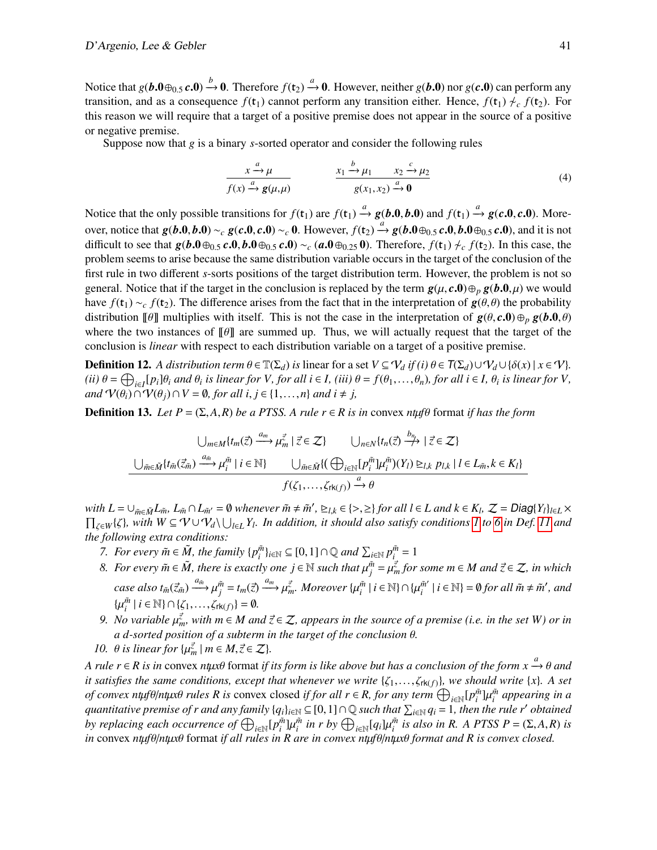Notice that  $g(b.0 \oplus_{0.5} c.0) \xrightarrow{b} 0$ . Therefore  $f(t_2) \xrightarrow{a} 0$ . However, neither  $g(b.0)$  nor  $g(c.0)$  can perform any transition and as a consequence  $f(t_1)$  cannot perform any transition either. Hence,  $f(t_1) \neq f(t_2)$ . transition, and as a consequence  $f(t_1)$  cannot perform any transition either. Hence,  $f(t_1) \nmid c \nmid f(t_2)$ . For this reason we will require that a target of a positive premise does not appear in the source of a positive or negative premise.

Suppose now that *g* is a binary *s*-sorted operator and consider the following rules

<span id="page-10-2"></span>
$$
\frac{x \xrightarrow{a} \mu}{f(x) \xrightarrow{a} g(\mu, \mu)} \qquad \frac{x_1 \xrightarrow{b} \mu_1 \qquad x_2 \xrightarrow{c} \mu_2}{g(x_1, x_2) \xrightarrow{a} 0} \tag{4}
$$

Notice that the only possible transitions for  $f(t_1)$  are  $f(t_1) \xrightarrow{a} g(b, 0, b, 0)$  and  $f(t_1) \xrightarrow{a} g(c, 0, c, 0)$ . Moreover, notice that  $g(b,0,b,0) \sim_c g(c,0,c,0) \sim_c 0$ . However,  $f(t_2) \stackrel{a}{\rightarrow} g(b,0 \oplus_{0.5} c,0, b,0 \oplus_{0.5} c,0)$ , and it is not<br>difficult to see that  $g(b,0 \oplus_{0.5} c,0, b,0 \oplus_{0.5} c,0) \propto_c (g,0 \oplus_{0.5} c,0)$ . Therefore,  $f(t_1) \neq f(t_2)$ difficult to see that  $g(b.0 \oplus_{0.5} c.0, b.0 \oplus_{0.5} c.0) \sim_c (a.0 \oplus_{0.25} 0)$ . Therefore,  $f(t_1) \not\sim_c f(t_2)$ . In this case, the problem seems to arise because the same distribution variable occurs in the target of the conclusion of the first rule in two different *s*-sorts positions of the target distribution term. However, the problem is not so general. Notice that if the target in the conclusion is replaced by the term  $g(\mu, c, 0) \oplus_p g(b, 0, \mu)$  we would have  $f(t_1) \sim_c f(t_2)$ . The difference arises from the fact that in the interpretation of  $g(\theta, \theta)$  the probability distribution  $[\![\theta]\!]$  multiplies with itself. This is not the case in the interpretation of  $g(\theta, c, 0) \oplus_p g(b, 0, \theta)$ where the two instances of  $\llbracket \theta \rrbracket$  are summed up. Thus, we will actually request that the target of the conclusion is *linear* with respect to each distribution variable on a target of a positive premise.

**Definition 12.** A distribution term  $\theta \in \mathbb{T}(\Sigma_d)$  is linear for a set  $V \subseteq V_d$  if (i)  $\theta \in \mathcal{T}(\Sigma_d) \cup V_d \cup \{\delta(x) \mid x \in V\}$ . (ii)  $\theta = \bigoplus_{i \in I} [p_i] \theta_i$  and  $\theta_i$  is linear for V, for all  $i \in I$ , (iii)  $\theta = f(\theta_1, ..., \theta_n)$ , for all  $i \in I$ ,  $\theta_i$  is linear for V, and  $\mathcal{U}(\theta) \cap \mathcal{U}(\theta) \cap V = \emptyset$ , for all  $i \in I$ ,  $n$ , and  $i \neq i$ *and*  $\mathcal{V}(\theta_i) \cap \mathcal{V}(\theta_j) \cap V = \emptyset$ , *for all i, j* ∈ {1,...,*n*} *and i* ≠ *j*,

**Definition 13.** *Let*  $P = (\Sigma, A, R)$  *be a PTSS. A rule r*  $\in$  *R is in* convex *ntµf* $\theta$  format *if has the form* 

$$
\bigcup_{m \in M} \{ t_m(\vec{z}) \xrightarrow{a_m} \mu_m^{\vec{z}} \mid \vec{z} \in \mathcal{Z} \} \qquad \bigcup_{n \in N} \{ t_n(\vec{z}) \xrightarrow{b_n} \mid \vec{z} \in \mathcal{Z} \}
$$

$$
\bigcup_{\tilde{m} \in \tilde{M}} \{ t_{\tilde{m}}(\vec{z}_{\tilde{m}}) \xrightarrow{a_{\tilde{m}}} \mu_i^{\tilde{m}} \mid i \in \mathbb{N} \} \qquad \bigcup_{\tilde{m} \in \tilde{M}} \{ (\bigoplus_{i \in \mathbb{N}} [p_i^{\tilde{m}}] \mu_i^{\tilde{m}})(Y_l) \geq l, k \ p_{l,k} \mid l \in L_{\tilde{m}}, k \in K_l \}
$$

$$
f(\zeta_1, \dots, \zeta_{rk(f)}) \xrightarrow{a} \theta
$$

with  $L = \bigcup_{\tilde{m} \in \tilde{M}} L_{\tilde{m}}$ ,  $L_{\tilde{m}} \cap L_{\tilde{m}'} = \emptyset$  whenever  $\tilde{m} \neq \tilde{m}'$ ,  $\geq_{l,k} \in \{>, \geq\}$  for all  $l \in L$  and  $k \in K_l$ ,  $\mathcal{Z} = \text{Diag}\{Y_l\}_{l \in L} \times$ <br> $\Pi$  and  $\mathcal{Z} = \text{Diag}\{Y_l\}_{l \in L}$  $\prod_{\zeta \in W} \{\zeta\}$ , with  $W \subseteq V \cup V_d \setminus \bigcup_{l \in L} Y_l$ . In addition, it should also satisfy conditions [1](#page-8-3) to [6](#page-8-5) in Def. [11](#page-8-6) and the following extra conditions: *the following extra conditions:*

- *7. For every*  $\tilde{m} \in \tilde{M}$ , the family  $\{p_i^{\tilde{m}}\}_{i \in \mathbb{N}} \subseteq [0,1] \cap \mathbb{Q}$  and  $\sum_{i \in \mathbb{N}} p_i^{\tilde{m}} = 1$ <br>8. For every  $\tilde{m} \in \tilde{M}$ , there is exactly one is  $\in \mathbb{N}$  such that  $\mu \tilde{m} = \mu \vec{z}$ , for
- <span id="page-10-0"></span>*8. For every*  $\tilde{m}$  ∈  $\tilde{M}$ , there is exactly one  $j$  ∈  $\mathbb N$  such that  $\mu_{j}^{\tilde{m}} = \mu_{m}^{\tilde{z}}$  *for some*  $m \in M$  and  $\tilde{z} \in \mathbb Z$ , in which case also  $t_{\tilde{m}}(\vec{z}_{\tilde{m}}) \xrightarrow{a_{\tilde{m}}} \mu_j^{\tilde{m}} = t_m(\vec{z}) \xrightarrow{a_m} \mu_{m}^{\vec{z}}$ . Moreover  $\{\mu_i^{\tilde{m}} \mid i \in \mathbb{N}\} \cap \{\mu_i^{\tilde{m}'}\}$  $\tilde{m}'$  | *i*  $\in \mathbb{N}$  } =  $\emptyset$  *for all*  $\tilde{m} \neq \tilde{m}'$ *, and*  $\{\mu_i^{\tilde{m}} \mid i \in \mathbb{N}\} \cap \{\zeta_1, \ldots, \zeta_{\text{rk}(f)}\} = \emptyset.$ <br>No variable  $\nu_i^{\vec{z}}$ , with  $m \in M$  and
- <span id="page-10-1"></span>*9. No variable*  $\mu_{m}^{\vec{z}}$ , with  $m \in M$  and  $\vec{z} \in \mathcal{Z}$ , appears in the source of a premise (i.e. in the set W) or in *a d-sorted position of a subterm in the target of the conclusion* θ*.*
- <span id="page-10-3"></span>*10.*  $\theta$  *is linear for*  $\{\mu_m^{\vec{z}} \mid m \in M, \vec{z} \in \mathcal{Z}\}$ .

*A rule r* ∈ *R* is in convex *ntµx*θ format if its form is like above but has a conclusion of the form  $x \xrightarrow{a} \theta$  and it satisfies the same conditions, execut that whenever we write  $\{x, \ldots, x\}$  we should write  $\{x\}$ *it satisfies the same conditions, except that whenever we write*  $\{\zeta_1,\ldots,\zeta_{rk(f)}\}$ *, we should write*  $\{x\}$ *. A set of convex ntµ<sup><i>f*θ/*ntµxθ rules R is* convex closed *if for all r* ∈ *R, for any term*  $\bigoplus_{i\in\mathbb{N}}[p_i^{\tilde{m}}]\mu_i^{\tilde{m}}$  appearing in a<br>quantitative premise of r and any family [a,],  $\infty \subset [0, 1] \cap \mathbb{Q}$  such that  $\$ *quantitative premise of r and any family*  $\{q_i\}_{i\in\mathbb{N}} \subseteq [0,1] \cap \mathbb{Q}$  *such that*  $\sum_{i\in\mathbb{N}} q_i = 1$ , then the rule r' obtained<br>by replacing each occurrence of  $\bigoplus_{i\in\mathbb{N}} p_i^{\tilde{m}}$  in r by  $\bigoplus_{i\in\mathbb{N}} \bigcap_{$ by replacing each occurrence of  $\bigoplus_{i\in\mathbb{N}}[p_i^{\tilde{m}}]\mu_i^{\tilde{m}}$  in r by  $\bigoplus_{i\in\mathbb{N}}[q_i]\mu_i^{\tilde{m}}$  is also in R. A PTSS  $P = (\Sigma, A, R)$  is<br>in convex ntiffelintive format if all rules in R are in convex ntifelintive fo  $\hat{\theta}$ *in* convex *ntuf* $\theta$ /*ntux* $\theta$  format *if all rules in R are in convex ntuf* $\theta$ /*ntux* $\theta$  *format and R is convex closed.*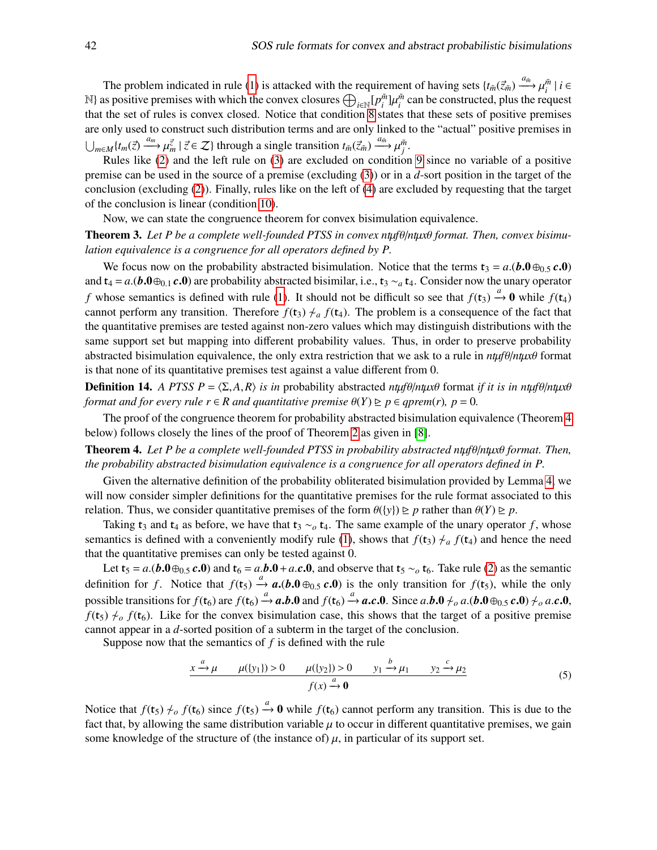The problem indicated in rule [\(1\)](#page-9-0) is attacked with the requirement of having sets  $\{t_{\tilde{m}}(\vec{z}_{\tilde{m}}) \stackrel{a_{\tilde{m}}}{\longrightarrow} \mu_{i}^{\tilde{m}} \mid i \in$ N} as positive premises with which the convex closures  $\bigoplus_{i\in\mathbb{N}}[p_i^{\tilde{m}}]\mu_i^{\tilde{m}}$  can be constructed, plus the request that the set of rules is convex closed. Notice that condition [8](#page-10-0) states that these sets of positive premises are only used to construct such distribution terms and are only linked to the "actual" positive premises in  $\bigcup_{m\in\mathcal{M}} \{t_m(\vec{z}) \xrightarrow{a_m} \mu_{m}^{\vec{z}} \mid \vec{z} \in \mathcal{Z} \}$  through a single transition  $t_{\tilde{m}}(\vec{z}_{\tilde{m}}) \xrightarrow{a_{\tilde{m}}} \mu_{\tilde{j}}^{\tilde{m}}$ .<br>Pulse like (2) and the left rule on (3) are excluded on condition

Rules like [\(2\)](#page-9-1) and the left rule on [\(3\)](#page-9-2) are excluded on condition [9](#page-10-1) since no variable of a positive premise can be used in the source of a premise (excluding [\(3\)](#page-9-2)) or in a *d*-sort position in the target of the conclusion (excluding [\(2\)](#page-9-1)). Finally, rules like on the left of [\(4\)](#page-10-2) are excluded by requesting that the target of the conclusion is linear (condition [10\)](#page-10-3).

Now, we can state the congruence theorem for convex bisimulation equivalence.

**Theorem 3.** Let P be a complete well-founded PTSS in convex ntμfθ/ntμxθ format. Then, convex bisimu*lation equivalence is a congruence for all operators defined by P.*

We focus now on the probability abstracted bisimulation. Notice that the terms  $\mathbf{t}_3 = a(\mathbf{b}.\mathbf{0} \oplus_{0.5} \mathbf{c}.\mathbf{0})$ and  $t_4 = a.(\mathbf{b.0} \oplus_{0.1} \mathbf{c.0})$  are probability abstracted bisimilar, i.e.,  $t_3 \sim_a t_4$ . Consider now the unary operator *f* whose semantics is defined with rule [\(1\)](#page-9-0). It should not be difficult so see that  $f(t_3) \xrightarrow{a} 0$  while  $f(t_4)$ cannot perform any transition. Therefore  $f(t_3) \neq_a f(t_4)$ . The problem is a consequence of the fact that the quantitative premises are tested against non-zero values which may distinguish distributions with the same support set but mapping into different probability values. Thus, in order to preserve probability abstracted bisimulation equivalence, the only extra restriction that we ask to a rule in *nt*µ*f*θ/*nt*µ*x*θ format is that none of its quantitative premises test against a value different from 0.

**Definition 14.** *A PTSS P* =  $\langle \Sigma, A, R \rangle$  *is in* probability abstracted *ntuf* $\theta$ /*ntux* $\theta$  format *if it is in ntuf* $\theta$ /*ntux* $\theta$ *format and for every rule*  $r \in R$  *and quantitative premise*  $\theta(Y) \geq p \in qprem(r)$ *, p* = 0*.* 

The proof of the congruence theorem for probability abstracted bisimulation equivalence (Theorem [4](#page-11-0) below) follows closely the lines of the proof of Theorem [2](#page-9-3) as given in [\[8\]](#page-14-10).

<span id="page-11-0"></span>**Theorem 4.** Let P be a complete well-founded PTSS in probability abstracted ntμfθ/ntμxθ format. Then, *the probability abstracted bisimulation equivalence is a congruence for all operators defined in P.*

Given the alternative definition of the probability obliterated bisimulation provided by Lemma [4,](#page-6-0) we will now consider simpler definitions for the quantitative premises for the rule format associated to this relation. Thus, we consider quantitative premises of the form  $\theta({\gamma}) \ge p$  rather than  $\theta(Y) \ge p$ .

Taking t<sub>3</sub> and t<sub>4</sub> as before, we have that t<sub>3</sub>  $\sim$ <sub>*o*</sub> t<sub>4</sub>. The same example of the unary operator *f*, whose semantics is defined with a conveniently modify rule [\(1\)](#page-9-0), shows that  $f(t_3) \neq_a f(t_4)$  and hence the need that the quantitative premises can only be tested against 0.

Let  $t_5 = a(b.0 \oplus_{0.5} c.0)$  and  $t_6 = a.b.0 + a.c.0$ , and observe that  $t_5 \sim b_6$ . Take rule [\(2\)](#page-9-1) as the semantic definition for *f*. Notice that  $f(t_5) \xrightarrow{a} a$ .(*b*.0  $\oplus_{0.5} c$ .0) is the only transition for  $f(t_5)$ , while the only possible transitions for  $f(t_6)$  are  $f(t_6) \rightarrow a$ . **b.0** and  $f(t_6) \rightarrow a$ . C.O. Since a.b.  $0 \nleftrightarrow a$ . (b.  $0 \oplus_{0.5} c$ . 0)  $\neq_a a$ . C.O.<br>  $f(t_6) \rightarrow f(t_6)$  Like for the convex bisimulation case, this shows that the target of a pos  $f(t_5) \nleftrightarrow o f(t_6)$ . Like for the convex bisimulation case, this shows that the target of a positive premise cannot appear in a *d*-sorted position of a subterm in the target of the conclusion.

Suppose now that the semantics of *f* is defined with the rule

<span id="page-11-1"></span>
$$
\frac{x \xrightarrow{a} \mu \qquad \mu(\lbrace y_1 \rbrace) > 0 \qquad \mu(\lbrace y_2 \rbrace) > 0 \qquad y_1 \xrightarrow{b} \mu_1 \qquad y_2 \xrightarrow{c} \mu_2}{f(x) \xrightarrow{a} 0} \tag{5}
$$

Notice that  $f(t_5) \neq_o f(t_6)$  since  $f(t_5) \xrightarrow{a} 0$  while  $f(t_6)$  cannot perform any transition. This is due to the fact that, by allowing the same distribution variable  $\mu$  to occur in different quantitative premises, we gain some knowledge of the structure of (the instance of)  $\mu$ , in particular of its support set.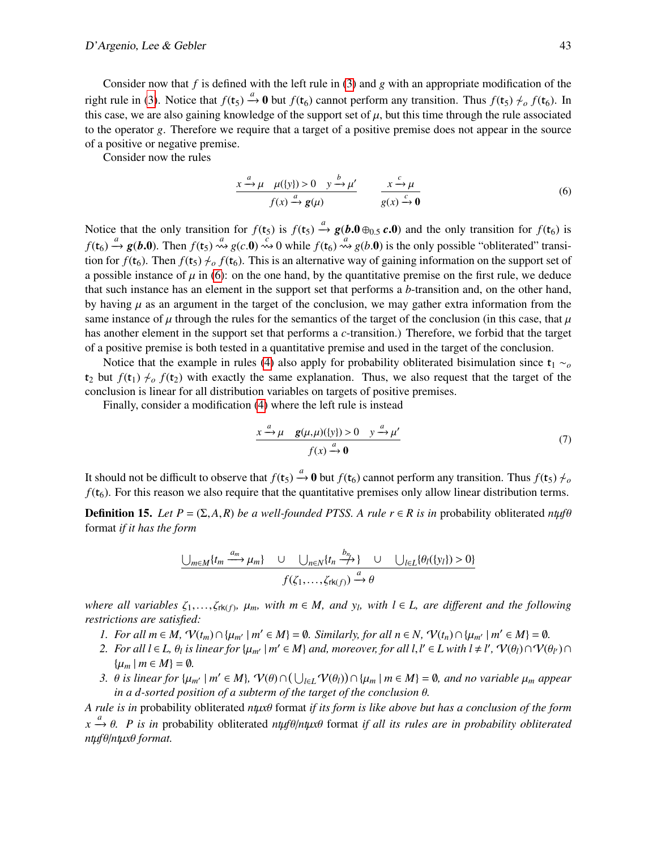Consider now that *f* is defined with the left rule in [\(3\)](#page-9-2) and *g* with an appropriate modification of the right rule in [\(3\)](#page-9-2). Notice that  $f(t_5) \xrightarrow{a} 0$  but  $f(t_6)$  cannot perform any transition. Thus  $f(t_5) \nlessdot o f(t_6)$ . In this case, we are also gaining knowledge of the support set of  $\mu$ , but this time through the rule associated to the operator *g*. Therefore we require that a target of a positive premise does not appear in the source of a positive or negative premise.

Consider now the rules

<span id="page-12-0"></span>
$$
\frac{x \xrightarrow{a} \mu \quad \mu(\{y\}) > 0 \quad y \xrightarrow{b} \mu'}{f(x) \xrightarrow{a} g(\mu)} \qquad \frac{x \xrightarrow{c} \mu}{g(x) \xrightarrow{c} 0} \tag{6}
$$

Notice that the only transition for  $f(t_5)$  is  $f(t_5) \xrightarrow{a} g(b.0 \oplus_{0.5} c.0)$  and the only transition for  $f(t_6)$  is  $f(t_6) \xrightarrow{a} g(b.0)$ . Then  $f(t_5) \xrightarrow{a} g(c.0) \xrightarrow{c} 0$  while  $f(t_6) \xrightarrow{a} g(b.0)$  is the only possible "obliterated" transition for  $f(t_6)$ . Then  $f(t_5) \neq_0 f(t_6)$ . This is an alternative way of gaining information on the support set of a possible instance of  $\mu$  in [\(6\)](#page-12-0): on the one hand, by the quantitative premise on the first rule, we deduce that such instance has an element in the support set that performs a *b*-transition and, on the other hand, by having  $\mu$  as an argument in the target of the conclusion, we may gather extra information from the same instance of  $\mu$  through the rules for the semantics of the target of the conclusion (in this case, that  $\mu$ has another element in the support set that performs a *c*-transition.) Therefore, we forbid that the target of a positive premise is both tested in a quantitative premise and used in the target of the conclusion.

Notice that the example in rules [\(4\)](#page-10-2) also apply for probability obliterated bisimulation since  $t_1 \sim_o$ t<sub>2</sub> but  $f(t_1) \nmid c_0 f(t_2)$  with exactly the same explanation. Thus, we also request that the target of the conclusion is linear for all distribution variables on targets of positive premises.

Finally, consider a modification [\(4\)](#page-10-2) where the left rule is instead

$$
\frac{x \xrightarrow{a} \mu \quad g(\mu, \mu)(\{y\}) > 0 \quad y \xrightarrow{a} \mu'}{f(x) \xrightarrow{a} 0}
$$
 (7)

It should not be difficult to observe that  $f(t_5) \xrightarrow{a} 0$  but  $f(t_6)$  cannot perform any transition. Thus  $f(t_5) \nmid c$  $f(t_6)$ . For this reason we also require that the quantitative premises only allow linear distribution terms.

**Definition 15.** Let  $P = (\Sigma, A, R)$  be a well-founded PTSS. A rule  $r \in R$  is in probability obliterated  $n \mu f \theta$ format *if it has the form*

$$
\underbrace{\bigcup_{m\in M}\{t_m \xrightarrow{a_m} \mu_m\} \quad \cup \quad \bigcup_{n\in N}\{t_n \xrightarrow{b_n}\} \quad \cup \quad \bigcup_{l\in L}\{\theta_l(\{y_l\}) > 0\}}_{f(\zeta_1, \ldots, \zeta_{rk(f)}) \xrightarrow{a} \theta}
$$

*where all variables*  $\zeta_1, \ldots, \zeta_{rk(f)}, \mu_m$ , with  $m \in M$ , and  $y_l$ , with  $l \in L$ , are different and the following restrictions are satisfied: *restrictions are satisfied:*

- <span id="page-12-1"></span>*1.* For all  $m \in M$ ,  $\mathcal{V}(t_m) \cap \{\mu_{m'} \mid m' \in M\} = \emptyset$ . Similarly, for all  $n \in N$ ,  $\mathcal{V}(t_n) \cap \{\mu_{m'} \mid m' \in M\} = \emptyset$ .<br>2. For all  $l \in I$ ,  $\emptyset$  is linear for  $\{u_{m'} \mid m' \in M\}$  and moreover for all  $l \not l' \in I$  with  $l + l'$ ,  $\math$
- <span id="page-12-2"></span>*2.* For all  $l \in L$ ,  $\theta_l$  is linear for  $\{\mu_{m'} \mid m' \in M\}$  and, moreover, for all  $l, l' \in L$  with  $l \neq l'$ ,  $\mathcal{V}(\theta_l) \cap \mathcal{V}(\theta_{l'}) \cap$  $\{\mu_m \mid m \in M\} = \emptyset$ .
- <span id="page-12-3"></span>*3.*  $\theta$  *is linear for*  $\{\mu_{m'} \mid m' \in M\}$ ,  $\mathcal{V}(\theta) \cap (\bigcup_{l \in L} \mathcal{V}(\theta_l)) \cap \{\mu_m \mid m \in M\} = \emptyset$ , and no variable  $\mu_m$  appear in a d-sorted position of a subterm of the target of the conclusion  $\theta$ *in a d-sorted position of a subterm of the target of the conclusion* θ*.*

*A rule is in* probability obliterated *nt*µ*x*θ format *if its form is like above but has a conclusion of the form x* <sup>*a*</sup> *θ. P is in* probability obliterated *ntµfθ/ntµxθ* format *if all its rules are in probability obliterated ntufθ/ntuxθ* format *nt*µ*f*θ/*nt*µ*x*θ *format.*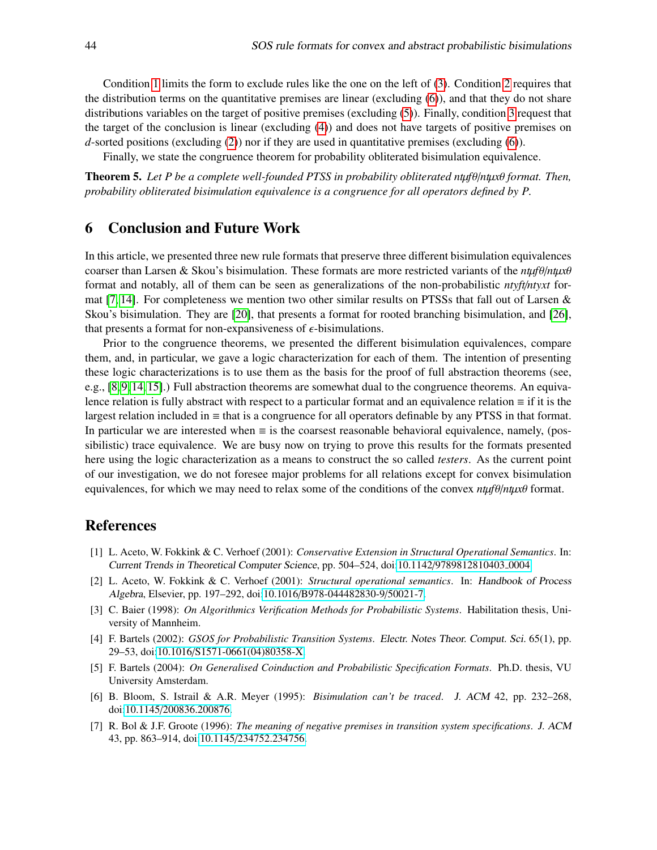Condition [1](#page-12-1) limits the form to exclude rules like the one on the left of [\(3\)](#page-9-2). Condition [2](#page-12-2) requires that the distribution terms on the quantitative premises are linear (excluding [\(6\)](#page-12-0)), and that they do not share distributions variables on the target of positive premises (excluding [\(5\)](#page-11-1)). Finally, condition [3](#page-12-3) request that the target of the conclusion is linear (excluding [\(4\)](#page-10-2)) and does not have targets of positive premises on *d*-sorted positions (excluding [\(2\)](#page-9-1)) nor if they are used in quantitative premises (excluding [\(6\)](#page-12-0)).

Finally, we state the congruence theorem for probability obliterated bisimulation equivalence.

Theorem 5. *Let P be a complete well-founded PTSS in probability obliterated nt*µ*f*θ/*nt*µ*x*θ *format. Then, probability obliterated bisimulation equivalence is a congruence for all operators defined by P.*

## <span id="page-13-6"></span>6 Conclusion and Future Work

In this article, we presented three new rule formats that preserve three different bisimulation equivalences coarser than Larsen & Skou's bisimulation. These formats are more restricted variants of the *nt*µ*f*θ/*nt*µ*x*θ format and notably, all of them can be seen as generalizations of the non-probabilistic *ntyft*/*ntyxt* for-mat [\[7,](#page-13-1) [14\]](#page-14-2). For completeness we mention two other similar results on PTSSs that fall out of Larsen  $\&$ Skou's bisimulation. They are [\[20\]](#page-14-18), that presents a format for rooted branching bisimulation, and [\[26\]](#page-14-19), that presents a format for non-expansiveness of  $\epsilon$ -bisimulations.

Prior to the congruence theorems, we presented the different bisimulation equivalences, compare them, and, in particular, we gave a logic characterization for each of them. The intention of presenting these logic characterizations is to use them as the basis for the proof of full abstraction theorems (see, e.g., [\[8,](#page-14-10) [9,](#page-14-11) [14,](#page-14-2) [15\]](#page-14-3).) Full abstraction theorems are somewhat dual to the congruence theorems. An equivalence relation is fully abstract with respect to a particular format and an equivalence relation ≡ if it is the largest relation included in  $\equiv$  that is a congruence for all operators definable by any PTSS in that format. In particular we are interested when  $\equiv$  is the coarsest reasonable behavioral equivalence, namely, (possibilistic) trace equivalence. We are busy now on trying to prove this results for the formats presented here using the logic characterization as a means to construct the so called *testers*. As the current point of our investigation, we do not foresee major problems for all relations except for convex bisimulation equivalences, for which we may need to relax some of the conditions of the convex *nt*µ*f*θ/*nt*µ*x*θ format.

## References

- <span id="page-13-2"></span>[1] L. Aceto, W. Fokkink & C. Verhoef (2001): *Conservative Extension in Structural Operational Semantics*. In: Current Trends in Theoretical Computer Science, pp. 504–524, doi:10.1142/[9789812810403](http://dx.doi.org/10.1142/9789812810403_0004) 0004.
- <span id="page-13-3"></span>[2] L. Aceto, W. Fokkink & C. Verhoef (2001): *Structural operational semantics*. In: Handbook of Process Algebra, Elsevier, pp. 197–292, doi:10.1016/[B978-044482830-9](http://dx.doi.org/10.1016/B978-044482830-9/50021-7)/50021-7.
- <span id="page-13-7"></span>[3] C. Baier (1998): *On Algorithmics Verification Methods for Probabilistic Systems*. Habilitation thesis, University of Mannheim.
- <span id="page-13-4"></span>[4] F. Bartels (2002): *GSOS for Probabilistic Transition Systems*. Electr. Notes Theor. Comput. Sci. 65(1), pp. 29–53, doi:10.1016/[S1571-0661\(04\)80358-X.](http://dx.doi.org/10.1016/S1571-0661(04)80358-X)
- <span id="page-13-5"></span>[5] F. Bartels (2004): *On Generalised Coinduction and Probabilistic Specification Formats*. Ph.D. thesis, VU University Amsterdam.
- <span id="page-13-0"></span>[6] B. Bloom, S. Istrail & A.R. Meyer (1995): *Bisimulation can't be traced*. J. ACM 42, pp. 232–268, doi:10.1145/[200836.200876.](http://dx.doi.org/10.1145/200836.200876)
- <span id="page-13-1"></span>[7] R. Bol & J.F. Groote (1996): *The meaning of negative premises in transition system specifications*. J. ACM 43, pp. 863–914, doi:10.1145/[234752.234756.](http://dx.doi.org/10.1145/234752.234756)